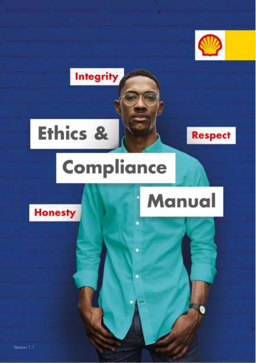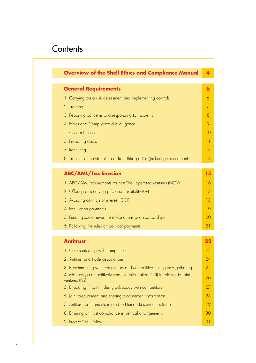## **Contents**

| <b>Overview of the Shell Ethics and Compliance Manual</b>                                    |  |
|----------------------------------------------------------------------------------------------|--|
| <b>General Requirements</b>                                                                  |  |
| 1. Carrying out a risk assessment and implementing controls                                  |  |
| 2. Training                                                                                  |  |
| 3. Reporting concerns and responding to incidents                                            |  |
| 4. Ethics and Compliance due diligence                                                       |  |
| 5. Contract clauses                                                                          |  |
| 6. Preparing deals                                                                           |  |
| 7. Recruiting                                                                                |  |
| 8. Transfer of individuals to or from third parties (including secondments)                  |  |
| <b>ABC/AML/Tax Evasion</b>                                                                   |  |
| 1. ABC/AML requirements for non-Shell operated ventures (NOVs)                               |  |
| 2. Offering or receiving gifts and hospitality (G&H)                                         |  |
| 3. Avoiding conflicts of interest (COI)                                                      |  |
| 4. Facilitation payments                                                                     |  |
| 5. Funding social investment, donations and sponsorships                                     |  |
| 6. Following the rules on political payments                                                 |  |
|                                                                                              |  |
| <b>Antitrust</b>                                                                             |  |
| 1. Communicating with competitors                                                            |  |
| 2. Antitrust and trade associations                                                          |  |
| 3. Benchmarking with competitors and competitive intelligence gathering                      |  |
| 4. Managing competitively sensitive information (CSI) in relation to joint<br>ventures (IVs) |  |
| 5. Engaging in joint industry advocacy with competitors                                      |  |
| 6. Joint procurement and sharing procurement information                                     |  |
| 7. Antitrust requirements related to Human Resources activities                              |  |
| 8. Ensuring antitrust compliance in vertical arrangements                                    |  |
| 9. Protect Shell Policy                                                                      |  |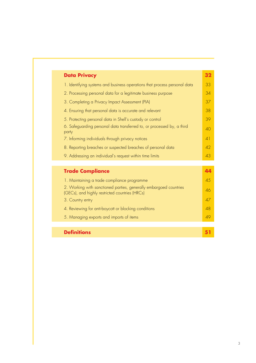| <b>Data Privacy</b> |                                                                           | 32       |
|---------------------|---------------------------------------------------------------------------|----------|
|                     | 1. Identifying systems and business operations that process personal data | 33       |
|                     | 2. Processing personal data for a legitimate business purpose             | 34       |
|                     | 3. Completing a Privacy Impact Assessment (PIA)                           | 37       |
|                     | 4. Ensuring that personal data is accurate and relevant                   | 38       |
|                     | 5. Protecting personal data in Shell's custody or control                 | 39       |
| party               | 6. Safeguarding personal data transferred to, or processed by, a third    | 40       |
|                     | 7. Informing individuals through privacy notices                          | $\Delta$ |
|                     | 8. Reporting breaches or suspected breaches of personal data              | 42       |
|                     | 9. Addressing an individual's request within time limits                  | 43       |
|                     |                                                                           |          |

| <b>Trade Compliance</b>                                                                                             |    |
|---------------------------------------------------------------------------------------------------------------------|----|
| 1. Maintaining a trade compliance programme                                                                         | 45 |
| 2. Working with sanctioned parties, generally embargoed countries<br>(GECs), and highly restricted countries (HRCs) | 46 |
| 3. Country entry                                                                                                    | Δ7 |
| 4. Reviewing for anti-boycott or blocking conditions                                                                | 48 |
| 5. Managing exports and imports of items                                                                            |    |
|                                                                                                                     |    |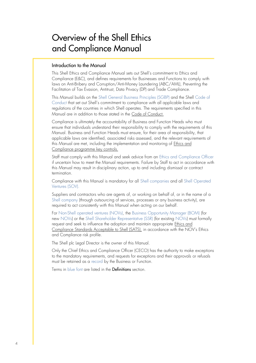# Overview of the Shell Ethics and Compliance Manual

#### Introduction to the Manual

This Shell Ethics and Compliance Manual sets out Shell's commitment to Ethics and Compliance (E&C), and defines requirements for Businesses and Functions to comply with laws on Anti-Bribery and Corruption/Anti-Money Laundering (ABC/AML), Preventing the Facilitation of Tax Evasion, Antitrust, Data Privacy (DP) and Trade Compliance.

This Manual builds on the Shell General Business Principles (SGBP) and the Shell Code of Conduct that set out Shell's commitment to compliance with all applicable laws and regulations of the countries in which Shell operates. The requirements specified in this Manual are in addition to those stated in the [Code of Conduct.](https://eu001-sp.shell.com/sites/AAAAA8887/ethicsandcompliancecommunicationstoolkit/Code%20of%20Conduct%20Documents/Code_of_conduct_2018_v3_1.pdf)

Compliance is ultimately the accountability of Business and Function Heads who must ensure that individuals understand their responsibility to comply with the requirements of this Manual. Business and Function Heads must ensure, for their area of responsibility, that applicable laws are identified, associated risks assessed, and the relevant requirements of this Manual are met, including the implementation and monitoring of [Ethics and](https://eu001-sp.shell.com/sites/AAFAA5088/Pages/integrity-legal-standards.aspx) [Compliance programme key controls.](https://eu001-sp.shell.com/sites/AAFAA5088/Pages/integrity-legal-standards.aspx)

Staff must comply with this Manual and seek advice from an Ethics and Compliance Officer if uncertain how to meet the Manual requirements. Failure by Staff to act in accordance with this Manual may result in disciplinary action, up to and including dismissal or contract termination.

Compliance with this Manual is mandatory for all Shell companies and all Shell Operated Ventures (SOV).

Suppliers and contractors who are agents of, or working on behalf of, or in the name of a Shell company (through outsourcing of services, processes or any business activity), are required to act consistently with this Manual when acting on our behalf.

For Non-Shell operated ventures (NOVs), the Business Opportunity Manager (BOM) (for new NOVs) or the Shell Shareholder Representative (SSR) (for existing NOVs) must formally request and seek to influence the adoption and maintain appropriate [Ethics and](https://eu001-sp.shell.com/:b:/r/sites/AAAAA8887/ethicsandcompliancecommunicationstoolkit/Fighting%20Corrupt%20Practices%20Documents/EC%20SATS%202%20FINAL%20CECO%20approved%2020AUG2020.pdf?csf=1&web=1&e=42M1bc) [Compliance Standards Acceptable to Shell \(SATS\),](https://eu001-sp.shell.com/:b:/r/sites/AAAAA8887/ethicsandcompliancecommunicationstoolkit/Fighting%20Corrupt%20Practices%20Documents/EC%20SATS%202%20FINAL%20CECO%20approved%2020AUG2020.pdf?csf=1&web=1&e=42M1bc) in accordance with the NOV's Ethics and Compliance risk profile.

The Shell plc Legal Director is the owner of this Manual.

Only the Chief Ethics and Compliance Officer (CECO) has the authority to make exceptions to the mandatory requirements, and requests for exceptions and their approvals or refusals must be retained as a record by the Business or Function.

Terms in blue font are listed in the Definitions section.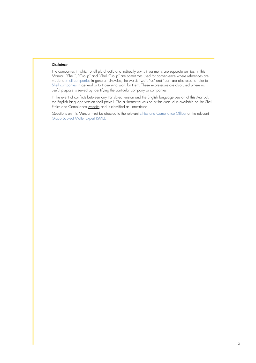#### Disclaimer

The companies in which Shell plc directly and indirectly owns investments are separate entities. In this Manual, "Shell", "Group" and "Shell Group" are sometimes used for convenience where references are made to Shell companies in general. Likewise, the words "we", "us" and "our" are also used to refer to Shell companies in general or to those who work for them. These expressions are also used where no useful purpose is served by identifying the particular company or companies.

In the event of conflicts between any translated version and the English language version of this Manual, the English language version shall prevail. The authoritative version of this Manual is available on the Shell Ethics and Compliance [website](https://hub.shell.com/sitepage/369137/ethics-and-compliance-homepage) and is classified as unrestricted.

Questions on this Manual must be directed to the relevant Ethics and Compliance Officer or the relevant Group Subject Matter Expert (SME).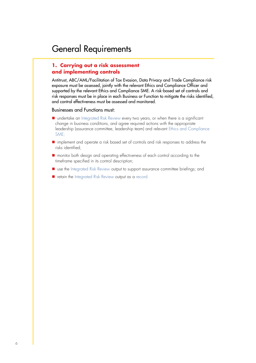#### **1. Carrying out a risk assessment and implementing controls**

Antitrust, ABC/AML/Facilitation of Tax Evasion, Data Privacy and Trade Compliance risk exposure must be assessed, jointly with the relevant Ethics and Compliance Officer and supported by the relevant Ethics and Compliance SME. A risk-based set of controls and risk responses must be in place in each Business or Function to mitigate the risks identified, and control effectiveness must be assessed and monitored.

- undertake an Integrated Risk Review every two years, or when there is a significant change in business conditions, and agree required actions with the appropriate leadership (assurance committee, leadership team) and relevant Ethics and Compliance SME;
- implement and operate a risk based set of controls and risk responses to address the risks identified;
- monitor both design and operating effectiveness of each control according to the timeframe specified in its control description;
- use the Integrated Risk Review output to support assurance committee briefings; and
- retain the Integrated Risk Review output as a record.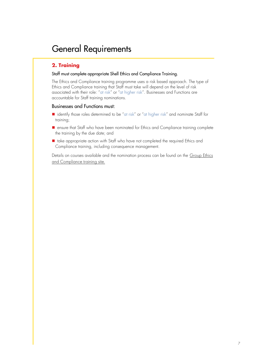#### **2. Training**

#### Staff must complete appropriate Shell Ethics and Compliance Training.

The Ethics and Compliance training programme uses a risk based approach. The type of Ethics and Compliance training that Staff must take will depend on the level of risk associated with their role: "at risk" or "at higher risk". Businesses and Functions are accountable for Staff training nominations.

#### Businesses and Functions must:

- identify those roles determined to be "at risk" or "at higher risk" and nominate Staff for training;
- ensure that Staff who have been nominated for Ethics and Compliance training complete the training by the due date; and
- take appropriate action with Staff who have not completed the required Ethics and Compliance training, including consequence management.

Details on courses available and the nomination process can be found on the [Group Ethics](https://eu001-sp.shell.com/sites/AAFAA5088/Pages/learning.aspx)  [and Compliance training site.](https://eu001-sp.shell.com/sites/AAFAA5088/Pages/learning.aspx)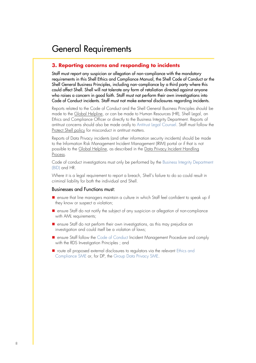#### **3. Reporting concerns and responding to incidents**

Staff must report any suspicion or allegation of non-compliance with the mandatory requirements in this Shell Ethics and Compliance Manual, the Shell Code of Conduct or the Shell General Business Principles, including non-compliance by a third party where this could affect Shell. Shell will not tolerate any form of retaliation directed against anyone who raises a concern in good faith. Staff must not perform their own investigations into Code of Conduct incidents. Staff must not make external disclosures regarding incidents.

Reports related to the Code of Conduct and the Shell General Business Principles should be made to the [Global Helpline,](https://eu001-sp.shell.com/sites/AAFAA5088/Pages/report-concern.aspx) or can be made to Human Resources (HR), Shell Legal, an Ethics and Compliance Officer or directly to the Business Integrity Department. Reports of antitrust concerns should also be made orally to Antitrust Legal Counsel. Staff must follow the [Protect Shell policy](https://eu001-sp.shell.com/sites/AAFAA5088/Pages/rules-and-requirements/Antitrust-Protect-Shell-Policy.aspx) for misconduct in antitrust matters.

Reports of Data Privacy incidents (and other information security incidents) should be made to the Information Risk Management Incident Management (IRIM) portal or if that is not possible to the [Global Helpline,](https://eu001-sp.shell.com/sites/AAFAA5088/Pages/report-concern.aspx) as described in th[e Data Privacy Incident Handling](https://eu001-sp.shell.com/sites/AAFAA5088/SECO%20Primary%20Document%20Library/DP_Incident%20handling.pdf)  [Process.](https://eu001-sp.shell.com/sites/AAFAA5088/SECO%20Primary%20Document%20Library/DP_Incident%20handling.pdf)

Code of conduct investigations must only be performed by the Business Integrity Department (BID) and HR.

Where it is a legal requirement to report a breach, Shell's failure to do so could result in criminal liability for both the individual and Shell.

- ensure that line managers maintain a culture in which Staff feel confident to speak up if they know or suspect a violation;
- ensure Staff do not notify the subject of any suspicion or allegation of non-compliance with AML requirements;
- ensure Staff do not perform their own investigations, as this may prejudice an investigation and could itself be a violation of laws;
- ensure Staff follow the Code of Conduct Incident Management Procedure and comply with the RDS Investigation Principles ; and
- route all proposed external disclosures to regulators via the relevant Ethics and Compliance SME or, for DP, the Group Data Privacy SME.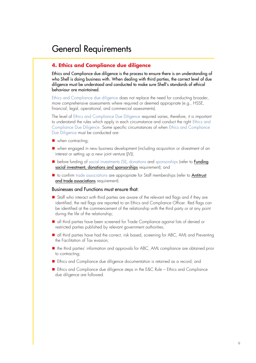#### **4. Ethics and Compliance due diligence**

Ethics and Compliance due diligence is the process to ensure there is an understanding of who Shell is doing business with. When dealing with third parties, the correct level of due diligence must be understood and conducted to make sure Shell's standards of ethical behaviour are maintained.

Ethics and Compliance due diligence does not replace the need for conducting broader, more comprehensive assessments where required or deemed appropriate (e.g., HSSE, financial, legal, operational, and commercial assessments).

The level of Ethics and Compliance Due Diligence required varies, therefore, it is important to understand the rules which apply in each circumstance and conduct the right Ethics and Compliance Due Diligence. Some specific circumstances of when Ethics and Compliance Due Diligence must be conducted are:

- when contracting;
- when engaged in new business development (including acquisition or divestment of an interest or setting up a new joint venture (JV));
- before funding of social investments (SI), donations and sponsorships (refer to **Funding** social investment, [donations and sponsorships](https://eu001-sp.shell.com/sites/AAFAA5088/Pages/rules-and-requirements/ABC-AML-Tax-Evasion-Funding-social-investment-donations-and-sponsorships.aspx) requirement); and
- to confirm trade associations are appropriate for Staff memberships (refer to Antitrust [and trade associations](https://eu001-sp.shell.com/sites/AAFAA5088/Pages/rules-and-requirements/Antitrust-and-trade-associations.aspx) requirement).

- Staff who interact with third parties are aware of the relevant red flags and if they are identified, the red flags are reported to an Ethics and Compliance Officer. Red flags can be identified at the commencement of the relationship with the third party or at any point during the life of the relationship;
- all third parties have been screened for Trade Compliance against lists of denied or restricted parties published by relevant government authorities;
- all third parties have had the correct, risk based, screening for ABC, AML and Preventing the Facilitation of Tax evasion;
- the third parties' information and approvals for ABC, AML compliance are obtained prior to contracting;
- Ethics and Compliance due diligence documentation is retained as a record; and
- Ethics and Compliance due diligence steps in the E&C Rule Ethics and Compliance due diligence are followed.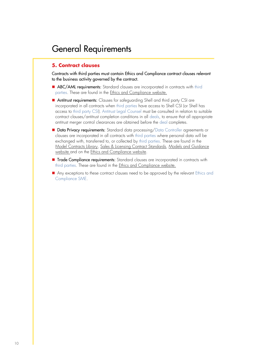#### **5. Contract clauses**

Contracts with third parties must contain Ethics and Compliance contract clauses relevant to the business activity governed by the contract.

- ABC/AML requirements: Standard clauses are incorporated in contracts with third parties. These are found in th[e Ethics and Compliance website.](https://eu001-sp.shell.com/sites/AAFAA5088/Pages/contract-clauses.aspx)
- Antitrust requirements: Clauses for safeguarding Shell and third party CSI are incorporated in all contracts when third parties have access to Shell CSI (or Shell has access to third party CSI). Antitrust Legal Counsel must be consulted in relation to suitable contract clauses/antitrust completion conditions in all deals, to ensure that all appropriate antitrust merger control clearances are obtained before the deal completes.
- Data Privacy requirements: Standard data processing/Data Controller agreements or clauses are incorporated in all contracts with third parties where personal data will be exchanged with, transferred to, or collected by third parties. These are found in the [Model Contracts Library,](https://eu001-sp.shell.com/sites/AAAAA6880/MCL20/SitePages/MCL%20App.aspx) [Sales & Licensing Contract Standards, Models and Guidance](https://eu001-sp.shell.com/sites/AAAAA8018/LSPTS/SitePages/Home.aspx) [website](https://eu001-sp.shell.com/sites/AAAAA8018/LSPTS/SitePages/Home.aspx) and on the **Ethics** and Compliance website.
- Trade Compliance requirements: Standard clauses are incorporated in contracts with third parties. These are found in the [Ethics and Compliance website.](https://eu001-sp.shell.com/sites/AAFAA5088/Pages/contract-clauses.aspx)
- Any exceptions to these contract clauses need to be approved by the relevant Ethics and Compliance SME.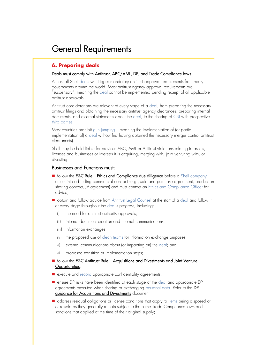#### **6. Preparing deals**

#### Deals must comply with Antitrust, ABC/AML, DP, and Trade Compliance laws.

Almost all Shell deals will trigger mandatory antitrust approval requirements from many governments around the world. Most antitrust agency approval requirements are "suspensory", meaning the deal cannot be implemented pending receipt of all applicable antitrust approvals.

Antitrust considerations are relevant at every stage of a deal, from preparing the necessary antitrust filings and obtaining the necessary antitrust agency clearances, preparing internal documents, and external statements about the deal, to the sharing of CSI with prospective third parties.

Most countries prohibit gun jumping – meaning the implementation of (or partial implementation of) a deal without first having obtained the necessary merger control antitrust clearance(s).

Shell may be held liable for previous ABC, AML or Antitrust violations relating to assets, licenses and businesses or interests it is acquiring, merging with, joint venturing with, or divesting.

- follow the E&C Rule [Ethics and Compliance due diligence](https://eu001-sp.shell.com/sites/AAFAA5088/Pages/rules-and-requirements/Ethics-and-compliance-due-diligence-rule.aspx) before a Shell company enters into a binding commercial contract (e.g., sale and purchase agreement, production sharing contract, JV agreement) and must contact an Ethics and Compliance Officer for advice;
- obtain and follow advice from Antitrust Legal Counsel at the start of a deal and follow it at every stage throughout the deal's progress, including:
	- i) the need for antitrust authority approvals;
	- ii) internal document creation and internal communications;
	- iii) information exchanges;
	- iv) the proposed use of clean teams for information exchange purposes;
	- v) external communications about (or impacting on) the deal; and
	- vi) proposed transition or implementation steps;
- follow the E&C Antitrust Rule Acquisitions and Divestments and Joint Venture [Opportunities](http://sww.shell.com/ethicsandcompliance/at/antitrust.html);
- execute and record appropriate confidentiality agreements:
- ensure DP risks have been identified at each stage of the deal and appropriate DP agreements executed when sharing or exchanging personal data. Refer to the DP [guidance for Acquisitions and Divestments](https://eu001-sp.shell.com/sites/AAFAA5088/SECO%20Primary%20Document%20Library/DP%20considerations%20on%20AD.pdf) document;
- address residual obligations or license conditions that apply to items being disposed of or re-sold as they generally remain subject to the same Trade Compliance laws and sanctions that applied at the time of their original supply;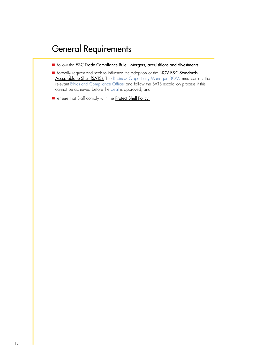- follow the E&C Trade Compliance Rule Mergers, acquisitions and divestments
- formally request and seek to influence the adoption of the **NOV E&C Standards** [Acceptable to Shell \(SATS\)](https://eu001-sp.shell.com/:b:/r/sites/AAAAA8887/ethicsandcompliancecommunicationstoolkit/Fighting%20Corrupt%20Practices%20Documents/EC%20SATS%202%20FINAL%20CECO%20approved%2020AUG2020.pdf?csf=1&web=1&e=42M1bc). The Business Opportunity Manager (BOM) must contact the relevant Ethics and Compliance Officer and follow the SATS escalation process if this cannot be achieved before the deal is approved; and
- ensure that Staff comply with the [Protect Shell Policy](https://eu001-sp.shell.com/sites/AAFAA5088/Pages/rules-and-requirements/Antitrust-Protect-Shell-Policy.aspx).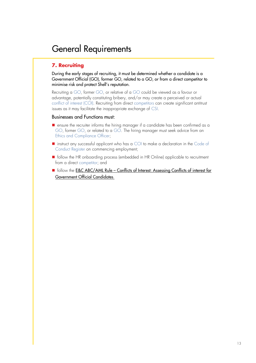#### **7. Recruiting**

During the early stages of recruiting, it must be determined whether a candidate is a Government Official (GO), former GO, related to a GO, or from a direct competitor to minimise risk and protect Shell's reputation.

Recruiting a GO, former GO, or relative of a GO could be viewed as a favour or advantage, potentially constituting bribery, and/or may create a perceived or actual conflict of interest (COI). Recruiting from direct competitors can create significant antitrust issues as it may facilitate the inappropriate exchange of CSI.

- ensure the recruiter informs the hiring manager if a candidate has been confirmed as a GO, former GO, or related to a GO. The hiring manager must seek advice from an Ethics and Compliance Officer;
- $\blacksquare$  instruct any successful applicant who has a COI to make a declaration in the Code of Conduct Register on commencing employment;
- follow the HR onboarding process (embedded in HR Online) applicable to recruitment from a direct competitor; and
- follow the E&C ABC/AML Rule Conflicts of Interest: Assessing Conflicts of interest for [Government Official Candidates](https://eu001-sp.shell.com/sites/AAFAA5088/Pages/rules-and-requirements/ABC-AML-Assessing-COI-for-GO-Candidates.aspx).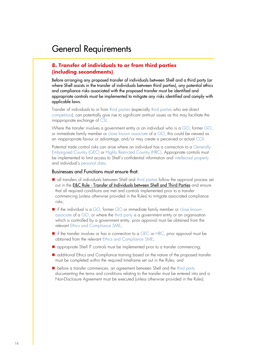#### **8. Transfer of individuals to or from third parties (including secondments)**

Before arranging any proposed transfer of individuals between Shell and a third party (or where Shell assists in the transfer of individuals between third parties), any potential ethics and compliance risks associated with the proposed transfer must be identified and appropriate controls must be implemented to mitigate any risks identified and comply with applicable laws.

Transfer of individuals to or from third parties (especially third parties who are direct competitors), can potentially give rise to significant antitrust issues as this may facilitate the inappropriate exchange of CSI.

Where the transfer involves a government entity or an individual who is a GO, former GO, or immediate family member or close known associate of a GO, this could be viewed as an inappropriate favour or advantage, and/or may create a perceived or actual COI.

Potential trade control risks can arise where an individual has a connection to a Generally Embargoed Country (GEC) or Highly Restricted Country (HRC). Appropriate controls must be implemented to limit access to Shell's confidential information and intellectual property and individual's personal data.

- all transfers of individuals between Shell and third parties follow the approval process set out in the E&C Rule - [Transfer of Individuals between Shell and Third Parties](https://eu001-sp.shell.com/sites/AAFAA5088/Pages/rules-and-requirements/ABC-AML-Assessing-COI-for-GO-Candidates.aspx) and ensure that all required conditions are met and controls implemented prior to a transfer commencing (unless otherwise provided in the Rules) to mitigate associated compliance risks;
- if the individual is a GO, former GO or immediate family member or close known associate of a GO, or where the third party is a government entity or an organisation which is controlled by a government entity, prior approval must be obtained from the relevant Ethics and Compliance SME;
- if the transfer involves or has a connection to a GEC or HRC, prior approval must be obtained from the relevant Ethics and Compliance SME;
- appropriate Shell IT controls must be implemented prior to a transfer commencing;
- additional Ethics and Compliance training based on the nature of the proposed transfer must be completed within the required timeframe set out in the Rules; and
- before a transfer commences, an agreement between Shell and the third party documenting the terms and conditions relating to the transfer must be entered into and a Non-Disclosure Agreement must be executed (unless otherwise provided in the Rules).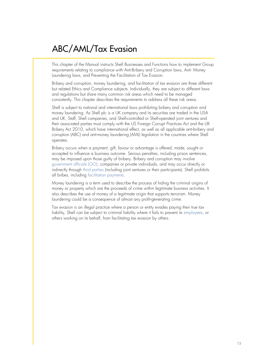This chapter of the Manual instructs Shell Businesses and Functions how to implement Group requirements relating to compliance with Anti-Bribery and Corruption laws, Anti- Money Laundering laws, and Preventing the Facilitation of Tax Evasion.

Bribery and corruption, money laundering, and facilitation of tax evasion are three different but related Ethics and Compliance subjects. Individually, they are subject to different laws and regulations but share many common risk areas which need to be managed consistently. This chapter describes the requirements to address all these risk areas.

Shell is subject to national and international laws prohibiting bribery and corruption and money laundering. As Shell plc is a UK company and its securities are traded in the USA and UK, Staff, Shell companies, and Shell-controlled or Shell-operated joint ventures and their associated parties must comply with the US Foreign Corrupt Practices Act and the UK Bribery Act 2010, which have international effect, as well as all applicable anti-bribery and corruption (ABC) and anti-money laundering (AML) legislation in the countries where Shell operates.

Bribery occurs when a payment, gift, favour or advantage is offered, made, sought or accepted to influence a business outcome. Serious penalties, including prison sentences, may be imposed upon those guilty of bribery. Bribery and corruption may involve government officials (GO), companies or private individuals, and may occur directly or indirectly through third parties (including joint ventures or their participants). Shell prohibits all bribes, including facilitation payments.

Money laundering is a term used to describe the process of hiding the criminal origins of money or property which are the proceeds of crime within legitimate business activities. It also describes the use of money of a legitimate origin that supports terrorism. Money laundering could be a consequence of almost any profit-generating crime.

Tax evasion is an illegal practice where a person or entity evades paying their true tax liability, Shell can be subject to criminal liability where it fails to prevent its employees, or others working on its behalf, from facilitating tax evasion by others.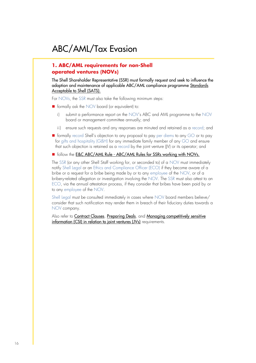#### **1. ABC/AML requirements for non-Shell operated ventures (NOVs)**

The Shell Shareholder Representative (SSR) must formally request and seek to influence the adoption and maintenance of applicable ABC/AML compliance programme [Standards](https://eu001-sp.shell.com/:b:/r/sites/AAAAA8887/ethicsandcompliancecommunicationstoolkit/Fighting%20Corrupt%20Practices%20Documents/EC%20SATS%202%20FINAL%20CECO%20approved%2020AUG2020.pdf?csf=1&web=1&e=42M1bc)  [Acceptable to Shell \(SATS\).](https://eu001-sp.shell.com/:b:/r/sites/AAAAA8887/ethicsandcompliancecommunicationstoolkit/Fighting%20Corrupt%20Practices%20Documents/EC%20SATS%202%20FINAL%20CECO%20approved%2020AUG2020.pdf?csf=1&web=1&e=42M1bc)

For NOVs, the SSR must also take the following minimum steps:

- formally ask the NOV board (or equivalent) to:
	- i) submit a performance report on the NOV's ABC and AML programme to the NOV board or management committee annually; and
	- ii) ensure such requests and any responses are minuted and retained as a record; and
- formally record Shell's objection to any proposal to pay per diems to any GO or to pay for gifts and hospitality (G&H) for any immediate family member of any GO and ensure that such objection is retained as a record by the joint venture (JV) or its operator; and

#### ■ follow the **E&C ABC/AML Rule - [ABC/AML Rules for SSRs working with](https://eu001-sp.shell.com/sites/AAFAA5088/Pages/rules-and-requirements/rules-for-SSRs-working-with-non-Shell-operated-ventures.aspx) NOVs.**

The SSR (or any other Shell Staff working for, or seconded to) of a NOV must immediately notify Shell Legal or an Ethics and Compliance Officer (ECO) if they become aware of a bribe or a request for a bribe being made by or to any employee of the NOV, or of a bribery-related allegation or investigation involving the NOV. The SSR must also attest to an ECO, via the annual attestation process, if they consider that bribes have been paid by or to any employee of the NOV.

Shell Legal must be consulted immediately in cases where NOV board members believe/ consider that such notification may render them in breach of their fiduciary duties towards a NOV company.

Also refer to [Contract Clauses](https://eu001-sp.shell.com/sites/AAFAA5088/Pages/rules-and-requirements/Ethics-and-Compliance-overview-Contract-clauses.aspx), [Preparing Deals](https://eu001-sp.shell.com/sites/AAFAA5088/Pages/rules-and-requirements/Ethics-and-Compliance-overview-Preparing-deals.aspx), and Managing competitively sensitive [information \(CSI\) in relation to joint ventures \(JVs\)](https://eu001-sp.shell.com/sites/AAFAA5088/Pages/rules-and-requirements/Antitrust-Managing-CSI-in-relation-to-JV.aspx) requirements.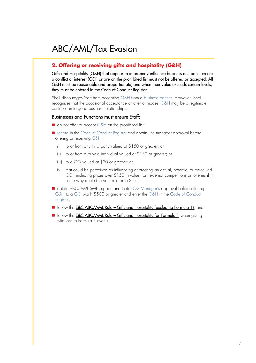#### **2. Offering or receiving gifts and hospitality (G&H)**

Gifts and Hospitality (G&H) that appear to improperly influence business decisions, create a conflict of interest (COI) or are on the prohibited list must not be offered or accepted. All G&H must be reasonable and proportionate, and when their value exceeds certain levels, they must be entered in the Code of Conduct Register.

Shell discourages Staff from accepting G&H from a business partner. However, Shell recognises that the occasional acceptance or offer of modest G&H may be a legitimate contribution to good business relationships.

- do not offer or accept G&H on th[e prohibited list;](https://eu001-sp.shell.com/sites/AAFAA5088/Pages/rules-and-requirements/Offering-Gifts-and-Hospitality-excluding-Formula-1.aspx)
- record in the Code of Conduct Register and obtain line manager approval before offering or receiving G&H:
	- i) to or from any third party valued at \$150 or greater; or
	- ii) to or from a private individual valued at \$150 or greater; or
	- iii) to a GO valued at \$20 or greater; or
	- iv) that could be perceived as influencing or creating an actual, potential or perceived COI, including prizes over \$150 in value from external competitions or lotteries if in some way related to your role or to Shell;
- obtain ABC/AML SME support and their EC-2 Manager's approval before offering G&H to a GO worth \$500 or greater and enter the G&H in the Code of Conduct Register;
- follow the E&C ABC/AML Rule [Gifts and Hospitality \(excluding Formula 1\)](https://eu001-sp.shell.com/sites/AAFAA5088/Pages/rules-and-requirements/Offering-Gifts-and-Hospitality-excluding-Formula-1.aspx); and
- follow the E&C ABC/AML Rule [Gifts and Hospitality for Formula 1](https://eu001-sp.shell.com/sites/AAFAA5088/Pages/rules-and-requirements/Rule-gifts-and-hospitality-F1.aspx) when giving invitations to Formula 1 events.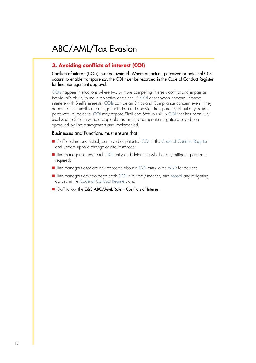#### **3. Avoiding conflicts of interest (COI)**

Conflicts of interest (COIs) must be avoided. Where an actual, perceived or potential COI occurs, to enable transparency, the COI must be recorded in the Code of Conduct Register for line management approval.

COIs happen in situations where two or more competing interests conflict and impair an individual's ability to make objective decisions. A COI arises when personal interests interfere with Shell's interests. COIs can be an Ethics and Compliance concern even if they do not result in unethical or illegal acts. Failure to provide transparency about any actual, perceived, or potential COI may expose Shell and Staff to risk. A COI that has been fully disclosed to Shell may be acceptable, assuming appropriate mitigations have been approved by line management and implemented.

- Staff declare any actual, perceived or potential COI in the Code of Conduct Register and update upon a change of circumstances;
- line managers assess each COI entry and determine whether any mitigating action is required;
- line managers escalate any concerns about a COI entry to an ECO for advice;
- line managers acknowledge each COI in a timely manner, and record any mitigating actions in the Code of Conduct Register; and
- Staff follow the **[E&C ABC/AML Rule](https://eu001-sp.shell.com/sites/AAFAA5088/Pages/rules-and-requirements/ABC-AML-Tax-Evasion-Avoiding-COI.aspx)  Conflicts of Interest.**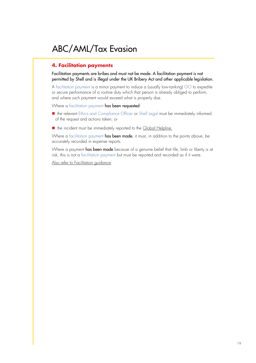#### **4. Facilitation payments**

Facilitation payments are bribes and must not be made. A facilitation payment is not permitted by Shell and is illegal under the UK Bribery Act and other applicable legislation.

A facilitation payment is a minor payment to induce a (usually low-ranking) GO to expedite or secure performance of a routine duty which that person is already obliged to perform, and where such payment would exceed what is properly due.

Where a facilitation payment has been requested:

- the relevant Ethics and Compliance Officer or Shell Legal must be immediately informed of the request and actions taken; or
- the incident must be immediately reported to th[e Global Helpline](https://eu001-sp.shell.com/sites/AAFAA5088/Pages/report-concern.aspx).

Where a facilitation payment has been made, it must, in addition to the points above, be accurately recorded in expense reports.

Where a payment has been made because of a genuine belief that life, limb or liberty is at risk, this is not a facilitation payment but must be reported and recorded as if it were.

[Also refer to Facilitation guidance.](https://eu001-sp.shell.com/sites/AAFAA5088/SECO%20Primary%20Document%20Library/ABC_Facilitation%20Payments_Guidance_v1.0.pdf)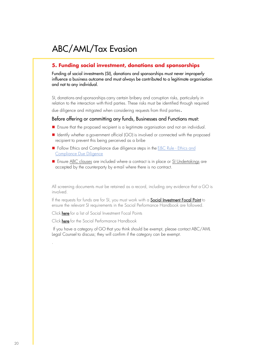#### **5. Funding social investment, donations and sponsorships**

Funding of social investments (SI), donations and sponsorships must never improperly influence a business outcome and must always be contributed to a legitimate organisation and not to any individual.

SI, donations and sponsorships carry certain bribery and corruption risks, particularly in relation to the interaction with third parties. These risks must be identified through required

due diligence and mitigated when considering requests from third parties.

#### Before offering or committing any funds, Businesses and Functions must:

- Ensure that the proposed recipient is a legitimate organisation and not an individual.
- Identify whether a government official (GO) is involved or connected with the proposed recipient to prevent this being perceived as a bribe
- Follow [Ethics and](https://eu001-sp.shell.com/sites/AAFAA5088/Pages/rules-and-requirements/Ethics-and-compliance-due-diligence-rule.aspx) Compliance due diligence steps in the **E&C Rule Ethics and** [Compliance Due Diligence](https://eu001-sp.shell.com/sites/AAFAA5088/Pages/rules-and-requirements/Ethics-and-compliance-due-diligence-rule.aspx)
- Ensur[e ABC clauses](https://eu001-sp.shell.com/sites/AAFAA5088/Pages/rules-and-requirements/Ethics-and-Compliance-overview-Contract-clauses.aspx) are included where a contract is in place o[r SI Undertakings](https://eu001-sp.shell.com/sites/AAFAA5088/SECO%20Primary%20Document%20Library/ABC%20Social%20Investment%20Undertakings%2C%20Sponsorship%20and%20Contribution%20(where%20no%20contract%20exists).pdf) are accepted by the counterparty by e-mail where there is no contract.

All screening documents must be retained as a record, including any evidence that a GO is involved.

If the requests for funds are for SI, you must work with a **[Social Investment Focal Point](https://eu001-sp.shell.com/sites/AAFAA1055/S01/Web/SocialInvestment_Resources_General.aspx)** to ensure the relevant SI requirements in the Social Performance Handbook are followed.

Click [here](https://eu001-sp.shell.com/sites/AAFAA1055/S01/Web/SocialInvestment_Resources_General.aspx) for a list of Social Investment Focal Points

Click [here](https://eu001-sp.shell.com/sites/AAFAA1055/S01/Web/HandbookHome.aspx) for the Social Performance Handbook

.

If you have a category of GO that you think should be exempt, please contact ABC/AML Legal Counsel to discuss; they will confirm if the category can be exempt.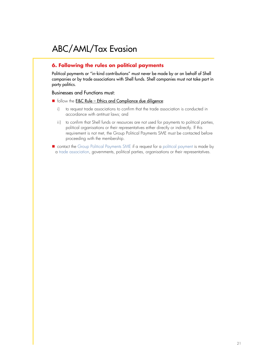#### **6. Following the rules on political payments**

Political payments or "in-kind contributions" must never be made by or on behalf of Shell companies or by trade associations with Shell funds. Shell companies must not take part in party politics.

#### Businesses and Functions must:

- $\blacksquare$  follow the **E&C Rule [Ethics and Compliance due diligence](https://eu001-sp.shell.com/sites/AAFAA5088/Pages/rules-and-requirements/Awaiting-approved-content.aspx)**:
	- i) to request trade associations to confirm that the trade association is conducted in accordance with antitrust laws; and
	- ii) to confirm that Shell funds or resources are not used for payments to political parties, political organisations or their representatives either directly or indirectly. If this requirement is not met, the Group Political Payments SME must be contacted before proceeding with the membership.

■ contact the Group Political Payments SME if a request for a political payment is made by a trade association, governments, political parties, organisations or their representatives.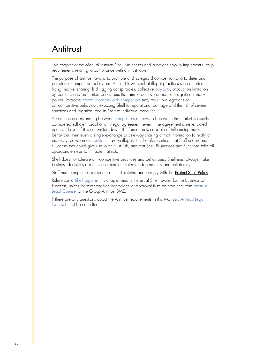This chapter of the Manual instructs Shell Businesses and Functions how to implement Group requirements relating to compliance with antitrust laws.

The purpose of antitrust laws is to promote and safeguard competition and to deter and punish anti-competitive behaviour. Antitrust laws combat illegal practices such as price fixing, market sharing, bid rigging conspiracies, collective boycotts, production limitation agreements and prohibited behaviours that aim to achieve or maintain significant market power. Improper communications with competitors may result in allegations of anticompetitive behaviour, exposing Shell to reputational damage and the risk of severe sanctions and litigation, and its Staff to individual penalties.

A common understanding between competitors on how to behave in the market is usually considered sufficient proof of an illegal agreement, even if the agreement is never acted upon and even if it is not written down. If information is capable of influencing market behaviour, then even a single exchange or one-way sharing of that information (directly or indirectly) between competitors may be illegal. It is therefore critical that Staff understand situations that could give rise to antitrust risk, and that Shell Businesses and Functions take all appropriate steps to mitigate that risk.

Shell does not tolerate anti-competitive practices and behaviours. Shell must always make business decisions about its commercial strategy independently and unilaterally.

Staff must complete appropriate antitrust training and comply with the **[Protect Shell Policy](https://eu001-sp.shell.com/sites/AAFAA5088/Pages/rules-and-requirements/Antitrust-Protect-Shell-Policy.aspx)**.

Reference to Shell Legal in this chapter means the usual Shell lawyer for the Business or Function, unless the text specifies that advice or approval is to be obtained from Antitrust Legal Counsel or the Group Antitrust SME.

If there are any questions about the Antitrust requirements in this Manual, Antitrust Legal Counsel must be consulted.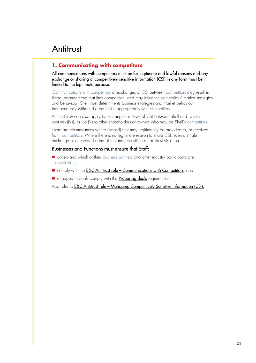#### **1. Communicating with competitors**

All communications with competitors must be for legitimate and lawful reasons and any exchange or sharing of competitively sensitive information (CSI) in any form must be limited to the legitimate purpose.

Communications with competitors or exchanges of CSI between competitors may result in illegal arrangements that limit competition, and may influence competitors' market strategies and behaviour. Shell must determine its business strategies and market behaviour independently without sharing CSI inappropriately with competitors.

Antitrust law can also apply to exchanges or flows of CSI between Shell and its joint ventures (JVs), or via JVs to other shareholders or owners who may be Shell's competitors.

There are circumstances where (limited) CSI may legitimately be provided to, or received from, competitors. Where there is no legitimate reason to share CSI, even a single exchange or one-way sharing of CSI may constitute an antitrust violation.

#### Businesses and Functions must ensure that Staff:

- understand which of their business partners and other industry participants are competitors;
- comply with the **E&C Antitrust rule [Communications with Competitors](http://sww.shell.com/ethicsandcompliance/at/antitrust.html)**; and
- engaged in deals comply with the **[Preparing deals](https://eu001-sp.shell.com/sites/AAFAA5088/Pages/rules-and-requirements/Ethics-and-Compliance-overview-Preparing-deals.aspx)** requirement.

Also refer to **E&C Antitrust rule – [Managing Competitively Sensitive Information \(CSI\).](https://eu001-sp.shell.com/:b:/r/sites/AAFAA5088/SECO%20Primary%20Document%20Library/AT%20Rule%20-%20Managing%20CSI.pdf?csf=1&web=1&e=OudNGi)**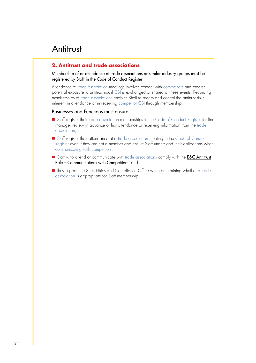#### **2. Antitrust and trade associations**

Membership of or attendance at trade associations or similar industry groups must be registered by Staff in the Code of Conduct Register.

Attendance at trade association meetings involves contact with competitors and creates potential exposure to antitrust risk if CSI is exchanged or shared at these events. Recording memberships of trade associations enables Shell to assess and control the antitrust risks inherent in attendance or in receiving competitor CSI through membership.

- Staff register their trade association memberships in the Code of Conduct Register for line manager review in advance of first attendance or receiving information from the trade association;
- Staff register their attendance at a trade association meeting in the Code of Conduct Register even if they are not a member and ensure Staff understand their obligations when communicating with competitors;
- Staff who attend or communicate with trade associations comply with the **E&C Antitrust** Rule – [Communications with Competitors](http://sww.shell.com/ethicsandcompliance/at/antitrust.html); and
- they support the Shell Ethics and Compliance Office when determining whether a trade association is appropriate for Staff membership.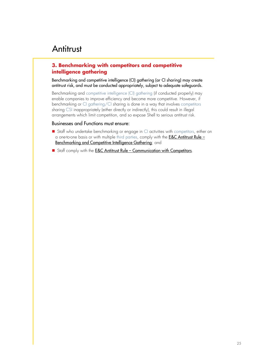#### **3. Benchmarking with competitors and competitive intelligence gathering**

Benchmarking and competitive intelligence (CI) gathering (or CI sharing) may create antitrust risk, and must be conducted appropriately, subject to adequate safeguards.

Benchmarking and competitive intelligence (CI) gathering (if conducted properly) may enable companies to improve efficiency and become more competitive. However, if benchmarking or CI gathering/CI sharing is done in a way that involves competitors sharing CSI inappropriately (either directly or indirectly), this could result in illegal arrangements which limit competition, and so expose Shell to serious antitrust risk.

- Staff who undertake benchmarking or engage in CI activities with competitors, either on a one-to-one basis or with multiple third parties, comply with the **E&C Antitrust Rule** -[Benchmarking and Competitive Intelligence Gathering](http://sww.shell.com/ethicsandcompliance/at/antitrust.html); and
- Staff comply with the **E&C Antitrust Rule [Communication with Competitors](http://sww.shell.com/ethicsandcompliance/at/antitrust.html).**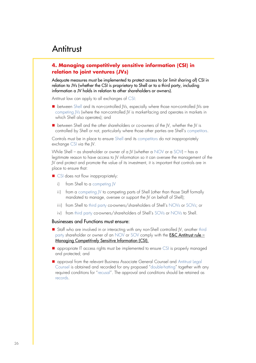#### **4. Managing competitively sensitive information (CSI) in relation to joint ventures (JVs)**

Adequate measures must be implemented to protect access to (or limit sharing of) CSI in relation to JVs (whether the CSI is proprietary to Shell or to a third party, including information a JV holds in relation to other shareholders or owners).

Antitrust law can apply to all exchanges of CSI:

- between Shell and its non-controlled JVs, especially where those non-controlled JVs are competing JVs (where the non-controlled JV is market-facing and operates in markets in which Shell also operates); and
- between Shell and the other shareholders or co-owners of the IV, whether the IV is controlled by Shell or not, particularly where those other parties are Shell's competitors.

Controls must be in place to ensure Shell and its competitors do not inappropriately exchange CSI via the JV.

While Shell – as shareholder or owner of a JV (whether a NOV or a SOV) – has a legitimate reason to have access to JV information so it can oversee the management of the JV and protect and promote the value of its investment, it is important that controls are in place to ensure that:

- CSI does not flow inappropriately:
	- i) from Shell to a competing JV
	- ii) from a competing IV to competing parts of Shell (other than those Staff formally mandated to manage, oversee or support the JV on behalf of Shell);
	- iii) from Shell to third party co-owners/shareholders of Shell's NOVs or SOVs; or
	- iv) from third party co-owners/shareholders of Shell's SOVs or NOVs to Shell.

- Staff who are involved in or interacting with any non-Shell controlled IV, another third party shareholder or owner of an NOV or SOV comply with the **[E&C Antitrust rule](https://eu001-sp.shell.com/:b:/r/sites/AAFAA5088/SECO%20Primary%20Document%20Library/AT%20Rule%20-%20Managing%20CSI.pdf?csf=1&web=1&e=OudNGi) -**[Managing Competitively Sensitive Information \(CSI\).](https://eu001-sp.shell.com/:b:/r/sites/AAFAA5088/SECO%20Primary%20Document%20Library/AT%20Rule%20-%20Managing%20CSI.pdf?csf=1&web=1&e=OudNGi)
- appropriate IT access rights must be implemented to ensure CSI is properly managed and protected; and
- approval from the relevant Business Associate General Counsel and Antitrust Legal Counsel is obtained and recorded for any proposed "double-hatting" together with any required conditions for "recusal". The approval and conditions should be retained as records.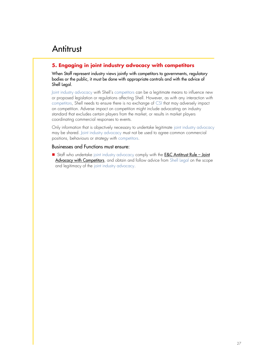#### **5. Engaging in joint industry advocacy with competitors**

When Staff represent industry views jointly with competitors to governments, regulatory bodies or the public, it must be done with appropriate controls and with the advice of Shell Legal.

Joint industry advocacy with Shell's competitors can be a legitimate means to influence new or proposed legislation or regulations affecting Shell. However, as with any interaction with competitors, Shell needs to ensure there is no exchange of CSI that may adversely impact on competition. Adverse impact on competition might include advocating an industry standard that excludes certain players from the market, or results in market players coordinating commercial responses to events.

Only information that is objectively necessary to undertake legitimate joint industry advocacy may be shared. Joint industry advocacy must not be used to agree common commercial positions, behaviours or strategy with competitors.

#### Businesses and Functions must ensure:

■ Staff who undertake joint industry advocacy comply with the **[E&C Antitrust Rule](http://sww.shell.com/ethicsandcompliance/at/antitrust.html) – Joint** [Advocacy with Competitors](http://sww.shell.com/ethicsandcompliance/at/antitrust.html), and obtain and follow advice from Shell Legal on the scope and legitimacy of the joint industry advocacy.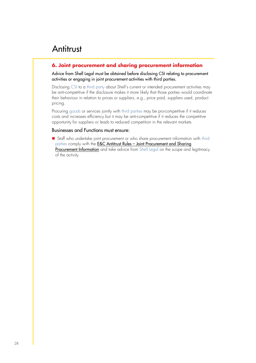#### **6. Joint procurement and sharing procurement information**

Advice from Shell Legal must be obtained before disclosing CSI relating to procurement activities or engaging in joint procurement activities with third parties.

Disclosing CSI to a third party about Shell's current or intended procurement activities may be anti-competitive if the disclosure makes it more likely that those parties would coordinate their behaviour in relation to prices or suppliers, e.g., price paid, suppliers used, product pricing.

Procuring goods or services jointly with third parties may be pro-competitive if it reduces costs and increases efficiency but it may be anti-competitive if it reduces the competitive opportunity for suppliers or leads to reduced competition in the relevant markets.

#### Businesses and Functions must ensure:

■ Staff who undertake joint procurement or who share procurement information with third parties comply with the E&C Antitrust Rules – Joint Procurement and Sharing [Procurement Information](http://sww.shell.com/ethicsandcompliance/at/antitrust.html) and take advice from Shell Legal on the scope and legitimacy of the activity.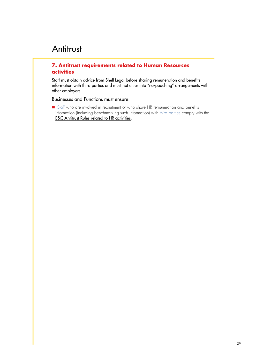#### **7. Antitrust requirements related to Human Resources activities**

Staff must obtain advice from Shell Legal before sharing remuneration and benefits information with third parties and must not enter into "no-poaching" arrangements with other employers.

Businesses and Functions must ensure:

■ Staff who are involved in recruitment or who share HR remuneration and benefits information (including benchmarking such information) with third parties comply with the [E&C Antitrust Rules related to HR activities](http://sww.shell.com/ethicsandcompliance/at/antitrust.html).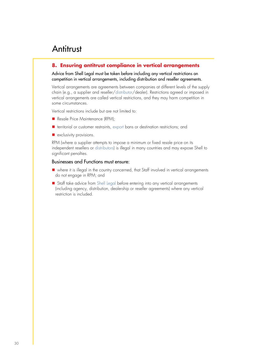#### **8. Ensuring antitrust compliance in vertical arrangements**

Advice from Shell Legal must be taken before including any vertical restrictions on competition in vertical arrangements, including distribution and reseller agreements.

Vertical arrangements are agreements between companies at different levels of the supply chain (e.g., a supplier and reseller/distributor/dealer). Restrictions agreed or imposed in vertical arrangements are called vertical restrictions, and they may harm competition in some circumstances.

Vertical restrictions include but are not limited to:

- Resale Price Maintenance (RPM);
- territorial or customer restraints, export bans or destination restrictions; and
- exclusivity provisions.

RPM (where a supplier attempts to impose a minimum or fixed resale price on its independent resellers or distributors) is illegal in many countries and may expose Shell to significant penalties.

- where it is illegal in the country concerned, that Staff involved in vertical arrangements do not engage in RPM; and
- Staff take advice from Shell Legal before entering into any vertical arrangements (including agency, distribution, dealership or reseller agreements) where any vertical restriction is included.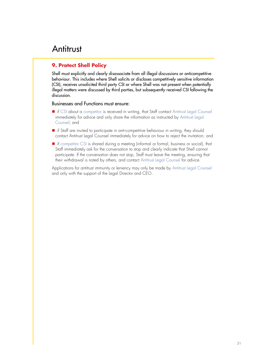#### **9. Protect Shell Policy**

Shell must explicitly and clearly disassociate from all illegal discussions or anticompetitive behaviour. This includes where Shell solicits or discloses competitively sensitive information (CSI), receives unsolicited third party CSI or where Shell was not present when potentially illegal matters were discussed by third parties, but subsequently received CSI following the discussion.

#### Businesses and Functions must ensure:

- if CSI about a competitor is received in writing, that Staff contact Antitrust Legal Counsel immediately for advice and only share the information as instructed by Antitrust Legal Counsel; and
- if Staff are invited to participate in anti-competitive behaviour in writing, they should contact Antitrust Legal Counsel immediately for advice on how to reject the invitation; and
- if competitor CSI is shared during a meeting (informal or formal, business or social), that Staff immediately ask for the conversation to stop and clearly indicate that Shell cannot participate. If the conversation does not stop, Staff must leave the meeting, ensuring that their withdrawal is noted by others, and contact Antitrust Legal Counsel for advice.

Applications for antitrust immunity or leniency may only be made by Antitrust Legal Counsel and only with the support of the Legal Director and CEO.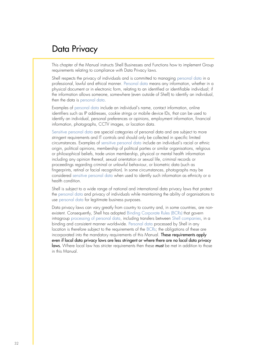This chapter of the Manual instructs Shell Businesses and Functions how to implement Group requirements relating to compliance with Data Privacy laws.

Shell respects the privacy of individuals and is committed to managing personal data in a professional, lawful and ethical manner. Personal data means any information, whether in a physical document or in electronic form, relating to an identified or identifiable individual; if the information allows someone, somewhere (even outside of Shell) to identify an individual, then the data is personal data.

Examples of personal data include an individual's name, contact information, online identifiers such as IP addresses, cookie strings or mobile device IDs, that can be used to identify an individual, personal preferences or opinions, employment information, financial information, photographs, CCTV images, or location data.

Sensitive personal data are special categories of personal data and are subject to more stringent requirements and IT controls and should only be collected in specific limited circumstances. Examples of sensitive personal data include an individual's racial or ethnic origin, political opinions, membership of political parties or similar organisations, religious or philosophical beliefs, trade union membership, physical or mental health information including any opinion thereof, sexual orientation or sexual life, criminal records or proceedings regarding criminal or unlawful behaviour, or biometric data (such as fingerprints, retinal or facial recognition). In some circumstances, photographs may be considered sensitive personal data when used to identify such information as ethnicity or a health condition.

Shell is subject to a wide range of national and international data privacy laws that protect the personal data and privacy of individuals while maintaining the ability of organisations to use personal data for legitimate business purposes.

Data privacy laws can vary greatly from country to country and, in some countries, are nonexistent. Consequently, Shell has adopted Binding Corporate Rules (BCRs) that govern intragroup processing of personal data, including transfers between Shell companies, in a binding and consistent manner worldwide. Personal data processed by Shell in any location is therefore subject to the requirements of the BCRs; the obligations of these are incorporated into the mandatory requirements of this Manual. These requirements apply even if local data privacy laws are less stringent or where there are no local data privacy laws. Where local law has stricter requirements then these must be met in addition to those in this Manual.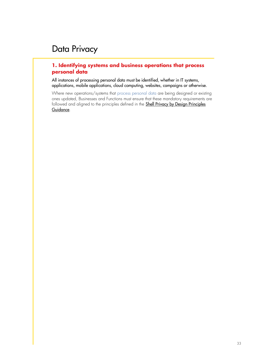#### **1. Identifying systems and business operations that process personal data**

All instances of processing personal data must be identified, whether in IT systems, applications, mobile applications, cloud computing, websites, campaigns or otherwise.

Where new operations/systems that process personal data are being designed or existing ones updated, Businesses and Functions must ensure that these mandatory requirements are followed and aligned to the principles defined in the **Shell Privacy by Design Principles** [Guidance](https://eu001-sp.shell.com/sites/AAFAA5088/SECO%20Primary%20Document%20Library/Privacy%20by%20Design_Guidance_V01.pdf).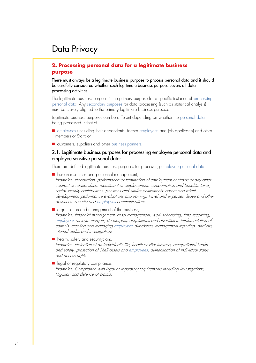#### **2. Processing personal data for a legitimate business purpose**

There must always be a legitimate business purpose to process personal data and it should be carefully considered whether such legitimate business purpose covers all data processing activities.

The legitimate business purpose is the primary purpose for a specific instance of processing personal data. Any secondary purposes for data processing (such as statistical analysis) must be closely aligned to the primary legitimate business purpose.

Legitimate business purposes can be different depending on whether the personal data being processed is that of:

- employees (including their dependents, former employees and job applicants) and other members of Staff; or
- customers, suppliers and other business partners.

#### 2.1. Legitimate business purposes for processing employee personal data and employee sensitive personal data:

There are defined legitimate business purposes for processing employee personal data:

- human resources and personnel management; Examples: Preparation, performance or termination of employment contracts or any other contract or relationships; recruitment or outplacement; compensation and benefits; taxes, social security contributions, pensions and similar entitlements; career and talent development, performance evaluations and training; travel and expenses; leave and other absences; security and employees communications.
- organisation and management of the business;

Examples: Financial management, asset management, work scheduling, time recording, employees surveys, mergers, de mergers, acquisitions and divestitures, implementation of controls, creating and managing employees directories, management reporting, analysis, internal audits and investigations.

- health, safety and security; and Examples: Protection of an individual's life, health or vital interests, occupational health and safety, protection of Shell assets and employees, authentication of individual status and access rights.
- legal or regulatory compliance. Examples: Compliance with legal or regulatory requirements including investigations, litigation and defence of claims.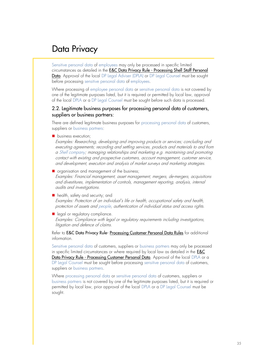Sensitive personal data of employees may only be processed in specific limited circumstances as detailed in the **E&C Data Privacy Rule - Processing Shell Staff Personal** [Data](https://eu001-sp.shell.com/sites/AAFAA5088/Pages/rules-and-requirements/Data-Privacy-rules-processing-staff-personal-data.aspx). Approval of the local DP Legal Adviser (DPLA) or DP Legal Counsel must be sought before processing sensitive personal data of employees.

Where processing of employee personal data or sensitive personal data is not covered by one of the legitimate purposes listed, but it is required or permitted by local law, approval of the local DPLA or a DP Legal Counsel must be sought before such data is processed.

#### 2.2. Legitimate business purposes for processing personal data of customers, suppliers or business partners:

There are defined legitimate business purposes for processing personal data of customers, suppliers or business partners:

■ business execution;

Examples: Researching, developing and improving products or services; concluding and executing agreements; recording and settling services, products and materials to and from a Shell company; managing relationships and marketing e.g. maintaining and promoting contact with existing and prospective customers, account management, customer service, and development, execution and analysis of market surveys and marketing strategies.

■ organisation and management of the business;

Examples: Financial management, asset management, mergers, de-mergers, acquisitions and divestitures, implementation of controls, management reporting, analysis, internal audits and investigations.

- health, safety and security; and Examples: Protection of an individual's life or health, occupational safety and health, protection of assets and people, authentication of individual status and access rights.
- legal or regulatory compliance. Examples: Compliance with legal or regulatory requirements including investigations, litigation and defence of claims.

Refer to E&C Data Privacy Rule- [Processing Customer Personal Data Rules](https://eu001-sp.shell.com/sites/AAFAA5088/Pages/rules-and-requirements/processing-personal-data.aspx) for additional information.

Sensitive personal data of customers, suppliers or business partners may only be processed in specific limited circumstances or where required by local law as detailed in the [E&C](https://eu001-sp.shell.com/sites/AAFAA5088/Pages/rules-and-requirements/processing-personal-data.aspx)  Data Privacy Rule - [Processing Customer Personal Data](https://eu001-sp.shell.com/sites/AAFAA5088/Pages/rules-and-requirements/processing-personal-data.aspx). Approval of the local DPLA or a DP Legal Counsel must be sought before processing sensitive personal data of customers, suppliers or business partners.

Where processing personal data or sensitive personal data of customers, suppliers or business partners is not covered by one of the legitimate purposes listed, but it is required or permitted by local law, prior approval of the local DPLA or a DP Legal Counsel must be sought.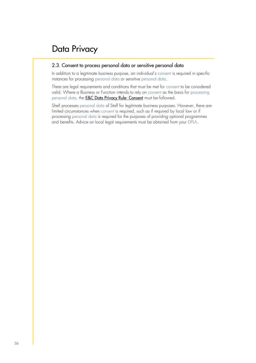#### 2.3. Consent to process personal data or sensitive personal data

In addition to a legitimate business purpose, an individual's consent is required in specific instances for processing personal data or sensitive personal data.

There are legal requirements and conditions that must be met for consent to be considered valid. Where a Business or Function intends to rely on consent as the basis for processing personal data, the **[E&C Data Privacy Rule-](https://eu001-sp.shell.com/sites/AAFAA5088/Pages/rules-and-requirements/Data-Privacy-Rule-consent%20requirement.aspx) Consent** must be followed.

Shell processes personal data of Staff for legitimate business purposes. However, there are limited circumstances when consent is required, such as if required by local law or if processing personal data is required for the purposes of providing optional programmes and benefits. Advice on local legal requirements must be obtained from your DPLA.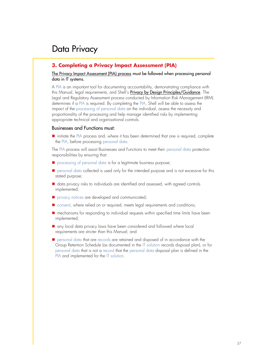#### **3. Completing a Privacy Impact Assessment (PIA)**

#### [The Privacy Impact Assessment \(PIA\) process](https://eu001-sp.shell.com/sites/AAFAA5088/SECO%20Primary%20Document%20Library/DP_PIA%20Process.pdf) must be followed when processing personal data in IT systems.

A PIA is an important tool for documenting accountability, demonstrating compliance with this Manual, legal requirements, and Shell's [Privacy by Design Principles/Guidance](https://eu001-sp.shell.com/sites/AAFAA5088/SECO%20Primary%20Document%20Library/Privacy%20by%20Design_Guidance_V01.pdf). The Legal and Regulatory Assessment process conducted by Information Risk Management (IRM) determines if a PIA is required. By completing the PIA, Shell will be able to assess the impact of the processing of personal data on the individual, assess the necessity and proportionality of the processing and help manage identified risks by implementing appropriate technical and organisational controls.

#### Businesses and Functions must:

■ initiate the PIA process and, where it has been determined that one is required, complete the PIA, before processing personal data.

The PIA process will assist Businesses and Functions to meet their personal data protection responsibilities by ensuring that:

- processing of personal data is for a legitimate business purpose;
- personal data collected is used only for the intended purpose and is not excessive for this stated purpose;
- data privacy risks to individuals are identified and assessed, with agreed controls implemented;
- privacy notices are developed and communicated;
- consent, where relied on or required, meets legal requirements and conditions;
- mechanisms for responding to individual requests within specified time limits have been implemented;
- any local data privacy laws have been considered and followed where local requirements are stricter than this Manual; and
- personal data that are records are retained and disposed of in accordance with the Group Retention Schedule (as documented in the IT solution records disposal plan), or for personal data that is not a record that the personal data disposal plan is defined in the PIA and implemented for the IT solution.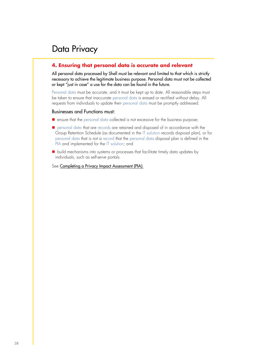#### **4. Ensuring that personal data is accurate and relevant**

All personal data processed by Shell must be relevant and limited to that which is strictly necessary to achieve the legitimate business purpose. Personal data must not be collected or kept "just in case" a use for the data can be found in the future.

Personal data must be accurate, and it must be kept up to date. All reasonable steps must be taken to ensure that inaccurate personal data is erased or rectified without delay. All requests from individuals to update their personal data must be promptly addressed.

#### Businesses and Functions must:

- ensure that the personal data collected is not excessive for the business purpose;
- personal data that are records are retained and disposed of in accordance with the Group Retention Schedule (as documented in the IT solution records disposal plan), or for personal data that is not a record that the personal data disposal plan is defined in the PIA and implemented for the IT solution; and
- build mechanisms into systems or processes that facilitate timely data updates by individuals, such as self-serve portals.

See [Completing a Privacy Impact Assessment \(PIA\)](https://eu001-sp.shell.com/sites/AAFAA5088/Pages/rules-and-requirements/Data-privacy-Completing-a-Privacy-Impact-Assessment.aspx).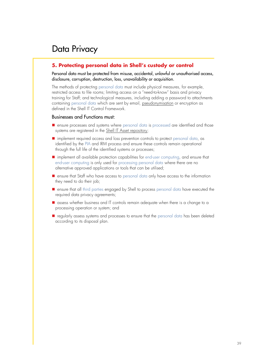#### **5. Protecting personal data in Shell's custody or control**

Personal data must be protected from misuse, accidental, unlawful or unauthorised access, disclosure, corruption, destruction, loss, unavailability or acquisition.

The methods of protecting personal data must include physical measures, for example, restricted access to file rooms; limiting access on a "need-to-know" basis and privacy training for Staff; and technological measures, including adding a password to attachments containing personal data which are sent by email, [pseudonymisation](https://eu001-sp.shell.com/sites/AAFAA5088/SECO%20Primary%20Document%20Library/GDPR%20FAQs%20-%20Personal%20Data%20and%20GDPR%20-%20Final%20v1.0%2002_10_17.pdf) or encryption as defined in the Shell IT Control Framework.

- ensure processes and systems where personal data is processed are identified and those systems are registered in the [Shell IT Asset repository;](https://eu001-sp.shell.com/sites/AAFAA3583/Pages/Home.aspx)
- implement required access and loss prevention controls to protect personal data, as identified by the PIA and IRM process and ensure these controls remain operational through the full life of the identified systems or processes;
- implement all available protection capabilities for end-user computing, and ensure that end-user computing is only used for processing personal data where there are no alternative approved applications or tools that can be utilised;
- ensure that Staff who have access to personal data only have access to the information they need to do their job;
- ensure that all third parties engaged by Shell to process personal data have executed the required data privacy agreements;
- assess whether business and IT controls remain adequate when there is a change to a processing operation or system; and
- regularly assess systems and processes to ensure that the personal data has been deleted according to its disposal plan.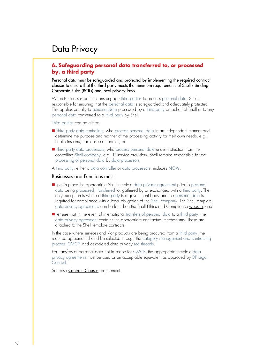#### **6. Safeguarding personal data transferred to, or processed by, a third party**

Personal data must be safeguarded and protected by implementing the required contract clauses to ensure that the third party meets the minimum requirements of Shell's Binding Corporate Rules (BCRs) and local privacy laws.

When Businesses or Functions engage third parties to process personal data, Shell is responsible for ensuring that the personal data is safeguarded and adequately protected. This applies equally to personal data processed by a third party on behalf of Shell or to any personal data transferred to a third party by Shell.

Third parties can be either:

- third party data controllers, who process personal data in an independent manner and determine the purpose and manner of the processing activity for their own needs, e.g., health insurers, car lease companies; or
- third party data processors, who process personal data under instruction from the controlling Shell company, e.g., IT service providers. Shell remains responsible for the processing of personal data by data processors.

A third party, either a data controller or data processors, includes NOVs.

#### Businesses and Functions must:

- put in place the appropriate Shell template data privacy agreement prior to personal data being processed, transferred to, gathered by or exchanged with a third party. The only exception is where a third party is a government body and the personal data is required for compliance with a legal obligation of the Shell company. The Shell template data privacy agreements can be found on the Shell Ethics and Complianc[e website;](https://eu001-sp.shell.com/sites/AAFAA5088/Pages/contract-clauses.aspx) and
- ensure that in the event of international transfers of personal data to a third party, the data privacy agreement contains the appropriate contractual mechanisms. These are attached to the [Shell template contracts.](https://eu001-sp.shell.com/sites/AAFAA5088/Pages/contract-clauses.aspx)

In the case where services and /or products are being procured from a third party, the required agreement should be selected through the category management and contracting process (CMCP) and associated data privacy red threads.

For transfers of personal data not in scope for CMCP, the appropriate template data privacy agreements must be used or an acceptable equivalent as approved by DP Legal Counsel.

See also **[Contract Clauses](https://eu001-sp.shell.com/sites/AAFAA5088/Pages/rules-and-requirements/Ethics-and-Compliance-overview-Contract-clauses.aspx)** requirement.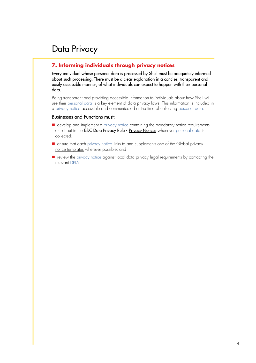#### **7. Informing individuals through privacy notices**

Every individual whose personal data is processed by Shell must be adequately informed about such processing. There must be a clear explanation in a concise, transparent and easily accessible manner, of what individuals can expect to happen with their personal data.

Being transparent and providing accessible information to individuals about how Shell will use their personal data is a key element of data privacy laws. This information is included in a privacy notice accessible and communicated at the time of collecting personal data.

- develop and implement a privacy notice containing the mandatory notice requirements as set out in the E&C Data Privacy Rule - [Privacy Notices](https://eu001-sp.shell.com/sites/AAFAA5088/Pages/rules-and-requirements/Data-Privacy-rules-notice-requirement.aspx) whenever personal data is collected;
- ensure that each [privacy](https://eu001-sp.shell.com/sites/AAFAA5088/Pages/contract-clauses.aspx) notice links to and supplements one of the Global privacy notice [templates](https://eu001-sp.shell.com/sites/AAFAA5088/Pages/contract-clauses.aspx) wherever possible; and
- review the privacy notice against local data privacy legal requirements by contacting the relevant DPLA.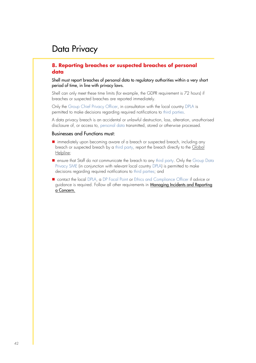#### **8. Reporting breaches or suspected breaches of personal data**

Shell must report breaches of personal data to regulatory authorities within a very short period of time, in line with privacy laws.

Shell can only meet these time limits (for example, the GDPR requirement is 72 hours) if breaches or suspected breaches are reported immediately.

Only the Group Chief Privacy Officer, in consultation with the local country DPLA is permitted to make decisions regarding required notifications to third parties.

A data privacy breach is an accidental or unlawful destruction, loss, alteration, unauthorised disclosure of, or access to, personal data transmitted, stored or otherwise processed.

- immediately upon becoming aware of a breach or suspected breach, including any breach or suspected breach by a third party, report the breach directly to the [Global](https://eu001-sp.shell.com/sites/AAFAA5088/Pages/report-concern.aspx)  [Helpline;](https://eu001-sp.shell.com/sites/AAFAA5088/Pages/report-concern.aspx)
- ensure that Staff do not communicate the breach to any third party. Only the Group Data Privacy SME (in conjunction with relevant local country DPLA) is permitted to make decisions regarding required notifications to third parties; and
- contact the local DPLA, a DP Focal Point or Ethics and Compliance Officer if advice or guidance is required. Follow all other requirements in [Managing Incidents and Reporting](https://eu001-sp.shell.com/sites/AAFAA5088/Pages/rules-and-requirements/Ethics-and-Compliance-overview-Reporting-concerns-and-responding-to-incidents.aspx)  [a Concern.](https://eu001-sp.shell.com/sites/AAFAA5088/Pages/rules-and-requirements/Ethics-and-Compliance-overview-Reporting-concerns-and-responding-to-incidents.aspx)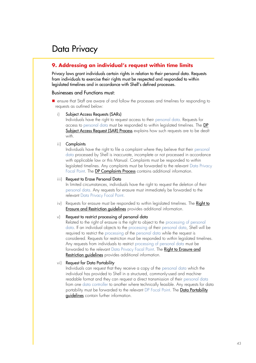#### **9. Addressing an individual's request within time limits**

Privacy laws grant individuals certain rights in relation to their personal data. Requests from individuals to exercise their rights must be respected and responded to within legislated timelines and in accordance with Shell's defined processes.

#### Businesses and Functions must:

■ ensure that Staff are aware of and follow the processes and timelines for responding to requests as outlined below:

#### i) Subject Access Requests (SARs)

Individuals have the right to request access to their personal data. Requests for access to personal data must be responded to within legislated timelines. The [DP](https://eu001-sp.shell.com/sites/AAFAA5088/SECO%20Primary%20Document%20Library/DP_Subject%20Access%20Request.pdf)  [Subject Access Request \(SAR\) Process](https://eu001-sp.shell.com/sites/AAFAA5088/SECO%20Primary%20Document%20Library/DP_Subject%20Access%20Request.pdf) explains how such requests are to be dealt with.

#### ii) Complaints

Individuals have the right to file a complaint where they believe that their personal data processed by Shell is inaccurate, incomplete or not processed in accordance with applicable law or this Manual. Complaints must be responded to within legislated timelines. Any complaints must be forwarded to the relevant Data Privacy Focal Point. The [DP Complaints Process](https://eu001-sp.shell.com/sites/AAFAA5088/SECO%20Primary%20Document%20Library/DP_Complaints.pdf) contains additional information.

#### iii) Request to Erase Personal Data

In limited circumstances, individuals have the right to request the deletion of their personal data. Any requests for erasure must immediately be forwarded to the relevant Data Privacy Focal Point.

iv) Requests for erasure must be responded to within legislated timelines. The Right to **[Erasure and Restriction guidelines](https://eu001-sp.shell.com/sites/AAFAA5088/SECO%20Primary%20Document%20Library/GDPR%20FAQs%20-%20The%20right%20of%20erasure%20and%20GDPR%20-%20Final%20v1.0%2005_10_17.pdf)** provides additional information.

#### v) Request to restrict processing of personal data

Related to the right of erasure is the right to object to the processing of personal data. If an individual objects to the processing of their personal data, Shell will be required to restrict the processing of the personal data while the request is considered. Requests for restriction must be responded to within legislated timelines. Any requests from individuals to restrict processing of personal data must be forwarded to the relevant Data Privacy Focal Point. The Right to Erasure and [Restriction guidelines](https://eu001-sp.shell.com/sites/AAFAA5088/SECO%20Primary%20Document%20Library/GDPR%20FAQs%20-%20The%20right%20of%20erasure%20and%20GDPR%20-%20Final%20v1.0%2005_10_17.pdf) provides additional information.

#### vi) Request for Data Portability

Individuals can request that they receive a copy of the personal data which the individual has provided to Shell in a structured, commonly-used and machinereadable format and they can request a direct transmission of their personal data from one data controller to another where technically feasible. Any requests for data portability must be forwarded to the relevant DP Focal Point. The Data Portability [guidelines](https://eu001-sp.shell.com/sites/AAFAA5088/SECO%20Primary%20Document%20Library/GDPR%20FAQs%20-%20Data%20Portability%20and%20GDPR%20-%20Final%20v1.0%2011_10_17.pdf) contain further information.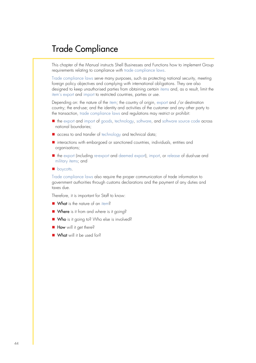This chapter of the Manual instructs Shell Businesses and Functions how to implement Group requirements relating to compliance with trade compliance laws.

Trade compliance laws serve many purposes, such as protecting national security, meeting foreign policy objectives and complying with international obligations. They are also designed to keep unauthorised parties from obtaining certain items and, as a result, limit the item's export and import to restricted countries, parties or use.

Depending on: the nature of the item; the country of origin, export and /or destination country; the end-use; and the identity and activities of the customer and any other party to the transaction, trade compliance laws and regulations may restrict or prohibit:

- the export and import of goods, technology, software, and software source code across national boundaries;
- access to and transfer of technology and technical data;
- interactions with embargoed or sanctioned countries, individuals, entities and organisations;
- the export (including re-export and deemed export), import, or release of dual-use and military items; and
- boycotts.

Trade compliance laws also require the proper communication of trade information to government authorities through customs declarations and the payment of any duties and taxes due.

Therefore, it is important for Staff to know:

- What is the nature of an item?
- Where is it from and where is it going?
- Who is it going to? Who else is involved?
- How will it get there?
- What will it be used for?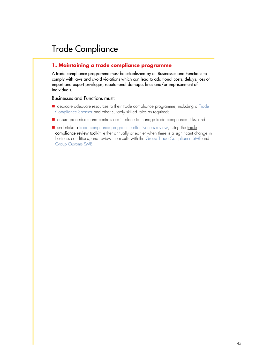#### **1. Maintaining a trade compliance programme**

A trade compliance programme must be established by all Businesses and Functions to comply with laws and avoid violations which can lead to additional costs, delays, loss of import and export privileges, reputational damage, fines and/or imprisonment of individuals.

- dedicate adequate resources to their trade compliance programme, including a Trade Compliance Sponsor and other suitably skilled roles as required;
- ensure procedures and controls are in place to manage trade compliance risks; and
- undertake a [trade](https://eu001-sp.shell.com/sites/AAFAA5088/SECO%20Primary%20Document%20Library/RiskReviewToolkit_FINAL_Q1_2014.xlsx?d=wd7f90d018dfe49299688562b2c6b7f7c) compliance programme effectiveness review, using the **trade** [compliance review toolkit](https://eu001-sp.shell.com/sites/AAFAA5088/SECO%20Primary%20Document%20Library/RiskReviewToolkit_FINAL_Q1_2014.xlsx?d=wd7f90d018dfe49299688562b2c6b7f7c), either annually or earlier when there is a significant change in business conditions, and review the results with the Group Trade Compliance SME and Group Customs SME.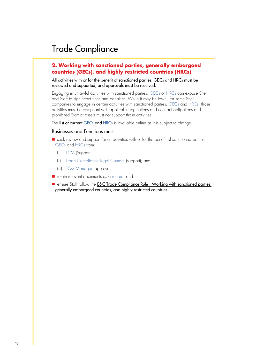#### **2. Working with sanctioned parties, generally embargoed countries (GECs), and highly restricted countries (HRCs)**

All activities with or for the benefit of sanctioned parties, GECs and HRCs must be reviewed and supported, and approvals must be received.

Engaging in unlawful activities with sanctioned parties, GECs or HRCs can expose Shell and Staff to significant fines and penalties. While it may be lawful for some Shell companies to engage in certain activities with sanctioned parties, GECs and HRCs, those activities must be compliant with applicable regulations and contract obligations and prohibited Staff or assets must not support those activities.

The [list of current](https://eu001-sp.shell.com/sites/AAFAA5088/Pages/rules-and-requirements/Working-with-sanctioned-parties-GECs-and-HRCs.aspx) GECs and HRCs is available online as it is subject to change.

- seek review and support for all activities with or for the benefit of sanctioned parties, GECs and HRCs from:
	- i) TCM (Support)
	- ii) Trade Compliance Legal Counsel (support); and
	- iii) EC-2 Manager (approval).
- retain relevant documents as a record; and
- ensure Staff follow the **E&C Trade Compliance Rule Working with sanctioned parties**, [generally embargoed countries, and highly restricted countries.](https://eu001-sp.shell.com/sites/AAFAA5088/Pages/rules-and-requirements/Working-with-sanctioned-parties-GECs-and-HRCs-TC-Rule.aspx)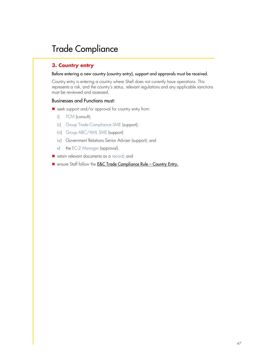#### **3. Country entry**

#### Before entering a new country (country entry), support and approvals must be received.

Country entry is entering a country where Shell does not currently have operations. This represents a risk, and the country's status, relevant regulations and any applicable sanctions must be reviewed and assessed.

- seek support and/or approval for country entry from:
	- i) TCM (consult);
	- ii) Group Trade Compliance SME (support);
	- iii) Group ABC/AML SME (support)
	- iv) Government Relations Senior Adviser (support); and
	- v) the EC-2 Manager (approval).
- retain relevant documents as a record; and
- ensure Staff follow the **[E&C Trade Compliance Rule](https://eu001-sp.shell.com/sites/AAFAA5088/Pages/rules-and-requirements/Country-Entry-Trade-Compliance.aspx)  Country Entry.**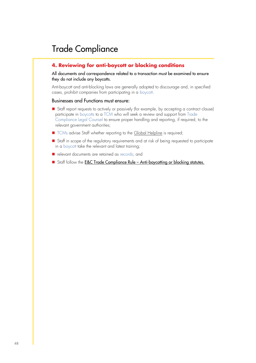#### **4. Reviewing for anti-boycott or blocking conditions**

All documents and correspondence related to a transaction must be examined to ensure they do not include any boycotts.

Anti-boycott and anti-blocking laws are generally adopted to discourage and, in specified cases, prohibit companies from participating in a boycott.

- Staff report requests to actively or passively (for example, by accepting a contract clause) participate in boycotts to a TCM who will seek a review and support from Trade Compliance Legal Counsel to ensure proper handling and reporting, if required, to the relevant government authorities;
- TCMs advise Staff whether reporting to th[e Global Helpline](https://eu001-sp.shell.com/sites/AAFAA5088/Pages/report-concern.aspx) is required;
- Staff in scope of the regulatory requirements and at risk of being requested to participate in a boycott take the relevant and latest training;
- relevant documents are retained as records; and
- Staff follow the **E&C Trade Compliance Rule [Anti-boycotting or blocking statutes.](https://eu001-sp.shell.com/sites/AAFAA5088/Pages/rules-and-requirements/Reviewing-for-anti-boycott-or-blocking-conditions-Trade-Compliance.aspx)**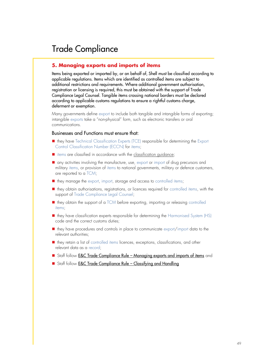#### **5. Managing exports and imports of items**

Items being exported or imported by, or on behalf of, Shell must be classified according to applicable regulations. Items which are identified as controlled items are subject to additional restrictions and requirements. Where additional government authorisation, registration or licensing is required, this must be obtained with the support of Trade Compliance Legal Counsel. Tangible items crossing national borders must be declared according to applicable customs regulations to ensure a rightful customs charge, deferment or exemption.

Many governments define export to include both tangible and intangible forms of exporting; intangible exports take a "non-physical" form, such as electronic transfers or oral communications.

- they have Technical Classification Experts (TCE) responsible for determining the Export Control Classification Number (ECCN) for items;
- items are classified in accordance with the classification auidance:
- any activities involving the manufacture, use, export or import of drug precursors and military items, or provision of items to national governments, military or defence customers, are reported to a TCM;
- they manage the export, import, storage and access to controlled items;
- they obtain authorisations, registrations, or licences required for controlled items, with the support of Trade Compliance Legal Counsel;
- they obtain the support of a TCM before exporting, importing or releasing controlled items;
- they have classification experts responsible for determining the Harmonised System (HS) code and the correct customs duties;
- they have procedures and controls in place to communicate export/import data to the relevant authorities;
- they retain a list of controlled items licences, exceptions, classifications, and other relevant data as a record;
- Staff follow **E&C Trade Compliance Rule [Managing exports and imports of items](https://eu001-sp.shell.com/sites/AAFAA5088/Pages/rules-and-requirements/Managing-exports-and-imports-of-items-Trade-Compliance.aspx)** and
- Staff follow **[E&C Trade Compliance Rule](https://eu001-sp.shell.com/sites/AAFAA5088/Pages/rules-and-requirements/classifying-and-handling-rule.aspx)  Classifying and Handling**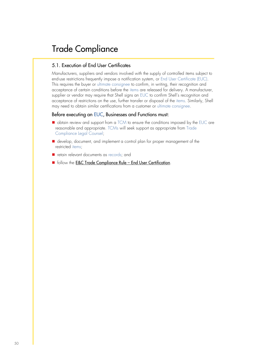#### 5.1. Execution of End User Certificates

Manufacturers, suppliers and vendors involved with the supply of controlled items subject to end-use restrictions frequently impose a notification system, or End User Certificate (EUC). This requires the buyer or ultimate consignee to confirm, in writing, their recognition and acceptance of certain conditions before the items are released for delivery. A manufacturer, supplier or vendor may require that Shell signs an EUC to confirm Shell's recognition and acceptance of restrictions on the use, further transfer or disposal of the items. Similarly, Shell may need to obtain similar certifications from a customer or ultimate consignee.

#### Before executing an EUC, Businesses and Functions must:

- obtain review and support from a TCM to ensure the conditions imposed by the EUC are reasonable and appropriate. TCMs will seek support as appropriate from Trade Compliance Legal Counsel;
- develop, document, and implement a control plan for proper management of the restricted items;
- retain relevant documents as records; and
- follow the [E&C Trade Compliance Rule](https://eu001-sp.shell.com/sites/AAFAA5088/Pages/rules-and-requirements/End-User-Certification.aspx)  End User Certification.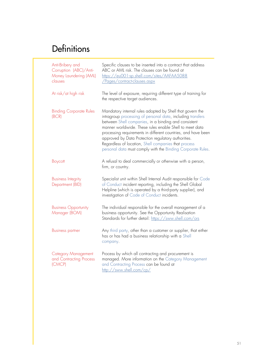| Anti-Bribery and<br>Corruption (ABC)/Anti-<br>Money Laundering (AML)<br>clauses | Specific clauses to be inserted into a contract that address<br>ABC or AML risk. The clauses can be found at<br>https://eu001-sp.shell.com/sites/AAFAA5088<br><u>/Pages/contract-clauses.aspx</u>                                                                                                                                                                                                                                                                                          |
|---------------------------------------------------------------------------------|--------------------------------------------------------------------------------------------------------------------------------------------------------------------------------------------------------------------------------------------------------------------------------------------------------------------------------------------------------------------------------------------------------------------------------------------------------------------------------------------|
| At risk/at high risk                                                            | The level of exposure, requiring different type of training for<br>the respective target audiences.                                                                                                                                                                                                                                                                                                                                                                                        |
| <b>Binding Corporate Rules</b><br>(BCR)                                         | Mandatory internal rules adopted by Shell that govern the<br>intragroup processing of personal data, including transfers<br>between Shell companies, in a binding and consistent<br>manner worldwide. These rules enable Shell to meet data<br>processing requirements in different countries, and have been<br>approved by Data Protection regulatory authorities.<br>Regardless of location, Shell companies that process<br>personal data must comply with the Binding Corporate Rules. |
| Boycott                                                                         | A refusal to deal commercially or otherwise with a person,<br>firm, or country.                                                                                                                                                                                                                                                                                                                                                                                                            |
| <b>Business Integrity</b><br>Department (BID)                                   | Specialist unit within Shell Internal Audit responsible for Code<br>of Conduct incident reporting, including the Shell Global<br>Helpline (which is operated by a third-party supplier), and<br>investigation of Code of Conduct incidents.                                                                                                                                                                                                                                                |
| <b>Business Opportunity</b><br>Manager (BOM)                                    | The individual responsible for the overall management of a<br>business opportunity. See the Opportunity Realisation<br>Standards for further detail: https://sww.shell.com/ors                                                                                                                                                                                                                                                                                                             |
| <b>Business partner</b>                                                         | Any third party, other than a customer or supplier, that either<br>has or has had a business relationship with a Shell<br>company.                                                                                                                                                                                                                                                                                                                                                         |
| <b>Category Management</b><br>and Contracting Process<br>(CMCP)                 | Process by which all contracting and procurement is<br>managed. More information on the Category Management<br>and Contracting Process can be found at<br>http://sww.shell.com/cp/                                                                                                                                                                                                                                                                                                         |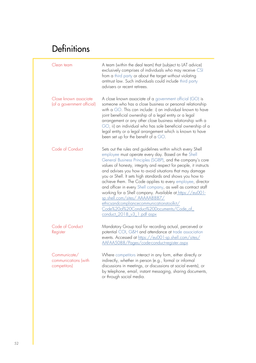| Clean team                                           | A team (within the deal team) that (subject to LAT advice)<br>exclusively comprises of individuals who may receive CSI<br>from a third party or about the target without violating<br>antitrust law. Such individuals could include third party<br>advisers or recent retirees.                                                                                                                                                                                                                                                                                                                                                                                                                                                 |
|------------------------------------------------------|---------------------------------------------------------------------------------------------------------------------------------------------------------------------------------------------------------------------------------------------------------------------------------------------------------------------------------------------------------------------------------------------------------------------------------------------------------------------------------------------------------------------------------------------------------------------------------------------------------------------------------------------------------------------------------------------------------------------------------|
| Close known associate<br>(of a government official)  | A close known associate of a government official (GO) is<br>someone who has a close business or personal relationship<br>with a GO. This can include: i) an individual known to have<br>joint beneficial ownership of a legal entity or a legal<br>arrangement or any other close business relationship with a<br>GO, ii) an individual who has sole beneficial ownership of a<br>legal entity or a legal arrangement which is known to have<br>been set up for the benefit of a GO.                                                                                                                                                                                                                                            |
| Code of Conduct                                      | Sets out the rules and guidelines within which every Shell<br>employee must operate every day. Based on the Shell<br>General Business Principles (SGBP), and the company's core<br>values of honesty, integrity and respect for people, it instructs<br>and advises you how to avoid situations that may damage<br>you or Shell. It sets high standards and shows you how to<br>achieve them. The Code applies to every employee, director<br>and officer in every Shell company, as well as contract staff<br>working for a Shell company. Available at https://eu001-<br>sp.shell.com/sites/AAAAA8887/<br>ethicsandcompliancecommunicationstoolkit/<br>Code%20of%20Conduct%20Documents/Code_of_<br>conduct_2018_v3_1.pdf aspx |
| Code of Conduct<br>Register                          | Mandatory Group tool for recording actual, perceived or<br>potential COI, G&H and attendance at trade association<br>events. Accessed at https://eu001-sp.shell.com/sites/<br>AAFAA5088/Pages/code-conduct-register.aspx                                                                                                                                                                                                                                                                                                                                                                                                                                                                                                        |
| Communicate/<br>communications (with<br>competitors) | Where competitors interact in any form, either directly or<br>indirectly, whether in person (e.g., formal or informal<br>discussions in meetings, or discussions at social events), or<br>by telephone, email, instant messaging, sharing documents,<br>or through social media.                                                                                                                                                                                                                                                                                                                                                                                                                                                |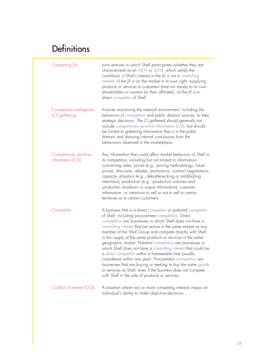| Competing JVs                                | Joint ventures in which Shell participates (whether they are<br>characterised as an NOV or SOV), which satisfy the<br>conditions: i) Shell's interest in the JV is not a controlling<br>interest, ii) the JV is on the market in its own right, supplying<br>products or services to customers (and not merely to its own<br>shareholders or owners (or their affiliates), iii) the JV is a<br>direct competitor of Shell.                                                                                                                                                                                                                                                                                                                                                                                             |
|----------------------------------------------|------------------------------------------------------------------------------------------------------------------------------------------------------------------------------------------------------------------------------------------------------------------------------------------------------------------------------------------------------------------------------------------------------------------------------------------------------------------------------------------------------------------------------------------------------------------------------------------------------------------------------------------------------------------------------------------------------------------------------------------------------------------------------------------------------------------------|
| Competitive intelligence<br>(CI) gathering   | Involves monitoring the external environment, including the<br>behaviour of competitors and public domain sources, to take<br>strategic decisions. The CI gathered should generally not<br>include competitively sensitive Information (CSI), but should<br>be limited to gathering information that is in the public<br>domain and drawing internal conclusions from the<br>behaviours observed in the marketplace.                                                                                                                                                                                                                                                                                                                                                                                                   |
| Competitively sensitive<br>information (CSI) | Any information that could affect market behaviour of Shell or<br>its competitors, including but not limited to information<br>concerning sales, prices (e.g., pricing methodology, future<br>prices), discounts, rebates, promotions, contract negotiations,<br>capacity utilisation (e.g., debottlenecking or mothballing<br>intentions), production (e.g., production volumes and<br>production shutdown or output information), customer<br>information, or intentions to sell or not to sell in certain<br>territories or to certain customers.                                                                                                                                                                                                                                                                   |
| Competitor                                   | A business that is a direct competitor or potential competitor<br>of Shell, including procurement competitors. Direct<br>competitors are businesses in which Shell does not have a<br>controlling interest that are active in the same market as any<br>member of the Shell Group and compete directly with Shell<br>in the supply of the same products or services in the same<br>geographic market. Potential competitors are businesses in<br>which Shell does not have a controlling interest that could be<br>a direct competitor within a foreseeable time (usually<br>considered within one year). Procurement competitors are<br>businesses that are buying or seeking to buy the same goods<br>or services as Shell, even if the business does not compete<br>with Shell in the sale of products or services. |
| Conflict of interest (COI)                   | A situation where two or more competing interests impair an                                                                                                                                                                                                                                                                                                                                                                                                                                                                                                                                                                                                                                                                                                                                                            |

individual's ability to make objective decisions.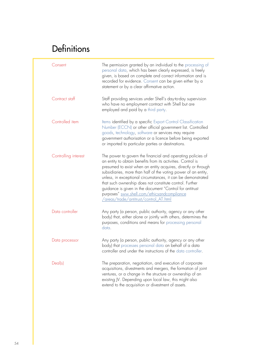| Consent              | The permission granted by an individual to the processing of<br>personal data, which has been clearly expressed, is freely<br>given, is based on complete and correct information and is<br>recorded for evidence. Consent can be given either by a<br>statement or by a clear affirmative action.                                                                                                                                                                                                                                               |
|----------------------|--------------------------------------------------------------------------------------------------------------------------------------------------------------------------------------------------------------------------------------------------------------------------------------------------------------------------------------------------------------------------------------------------------------------------------------------------------------------------------------------------------------------------------------------------|
| Contract staff       | Staff providing services under Shell's day-to-day supervision<br>who have no employment contract with Shell but are<br>employed and paid by a third party.                                                                                                                                                                                                                                                                                                                                                                                       |
| Controlled item      | Items identified by a specific Export Control Classification<br>Number (ECCN) or other official government list. Controlled<br>goods, technology, software or services may require<br>government authorisation or a licence before being exported<br>or imported to particular parties or destinations.                                                                                                                                                                                                                                          |
| Controlling interest | The power to govern the financial and operating policies of<br>an entity to obtain benefits from its activities. Control is<br>presumed to exist when an entity acquires, directly or through<br>subsidiaries, more than half of the voting power of an entity,<br>unless, in exceptional circumstances, it can be demonstrated<br>that such ownership does not constitute control. Further<br>guidance is given in the document "Control for antitrust<br>purposes" sww.shell.com/ethicsandcompliance<br>/areas/trade/antitrust/control AT.html |
| Data controller      | Any party (a person, public authority, agency or any other<br>body) that, either alone or jointly with others, determines the<br>purposes, conditions and means for processing personal<br>data.                                                                                                                                                                                                                                                                                                                                                 |
| Data processor       | Any party (a person, public authority, agency or any other<br>body) that processes personal data on behalf of a data<br>controller and under the instructions of the data controller.                                                                                                                                                                                                                                                                                                                                                            |
| Deal(s)              | The preparation, negotiation, and execution of corporate<br>acquisitions, divestments and mergers, the formation of joint<br>ventures, or a change in the structure or ownership of an<br>existing JV. Depending upon local law, this might also<br>extend to the acquisition or divestment of assets.                                                                                                                                                                                                                                           |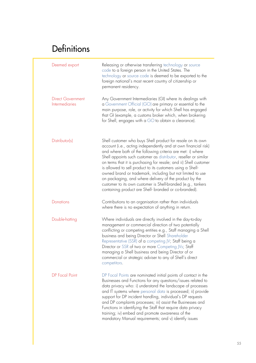| Deemed export                                     | Releasing or otherwise transferring technology or source<br>code to a foreign person in the United States. The<br>technology or source code is deemed to be exported to the<br>foreign national's most recent country of citizenship or<br>permanent residency.                                                                                                                                                                                                                                                                                                                                                                                     |
|---------------------------------------------------|-----------------------------------------------------------------------------------------------------------------------------------------------------------------------------------------------------------------------------------------------------------------------------------------------------------------------------------------------------------------------------------------------------------------------------------------------------------------------------------------------------------------------------------------------------------------------------------------------------------------------------------------------------|
| <b>Direct Government</b><br><b>Intermediaries</b> | Any Government Intermediaries (GI) where its dealings with<br>a Government Official (GO) are primary or essential to the<br>main purpose, role, or activity for which Shell has engaged<br>that GI (example, a customs broker which, when brokering<br>for Shell, engages with a GO to obtain a clearance).                                                                                                                                                                                                                                                                                                                                         |
| Distributor(s)                                    | Shell customer who buys Shell product for resale on its own<br>account (i.e., acting independently and at own financial risk)<br>and where both of the following criteria are met: i) where<br>Shell appoints such customer as distributor, reseller or similar<br>on terms that it is purchasing for resale; and ii) Shell customer<br>is allowed to sell product to its customers using a Shell-<br>owned brand or trademark, including but not limited to use<br>on packaging, and where delivery of the product by the<br>customer to its own customer is Shell-branded (e.g., tankers<br>containing product are Shell- branded or co-branded). |
| <b>Donations</b>                                  | Contributions to an organisation rather than individuals<br>where there is no expectation of anything in return.                                                                                                                                                                                                                                                                                                                                                                                                                                                                                                                                    |
| Double-hatting                                    | Where individuals are directly involved in the day-to-day<br>management or commercial direction of two potentially<br>conflicting or competing entities e.g., Staff managing a Shell<br>business and being Director or Shell Shareholder<br>Representative (SSR) of a competing JV; Staff being a<br>Director or SSR of two or more Competing JVs; Staff<br>managing a Shell business and being Director of or<br>commercial or strategic adviser to any of Shell's direct<br>competitors.                                                                                                                                                          |
| <b>DP</b> Focal Point                             | DP Focal Points are nominated initial points of contact in the<br>Businesses and Functions for any questions/issues related to<br>data privacy who: i) understand the landscape of processes<br>and IT systems where personal data is processed; ii) provide<br>support for DP incident handling, individual's DP requests<br>and DP complaints processes; iii) assist the Businesses and<br>Functions in identifying the Staff that require data privacy<br>training; iv) embed and promote awareness of the<br>mandatory Manual requirements; and v) identify issues                                                                              |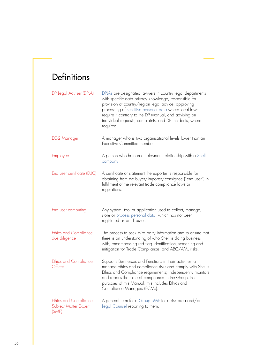| DP Legal Adviser (DPLA)                                        | DPLAs are designated lawyers in country legal departments<br>with specific data privacy knowledge, responsible for<br>provision of country/region legal advice, approving<br>processing of sensitive personal data where local laws<br>require it contrary to the DP Manual, and advising on<br>individual requests, complaints, and DP incidents, where<br>required. |
|----------------------------------------------------------------|-----------------------------------------------------------------------------------------------------------------------------------------------------------------------------------------------------------------------------------------------------------------------------------------------------------------------------------------------------------------------|
| EC-2 Manager                                                   | A manager who is two organisational levels lower than an<br>Executive Committee member                                                                                                                                                                                                                                                                                |
| Employee                                                       | A person who has an employment relationship with a Shell<br>company.                                                                                                                                                                                                                                                                                                  |
| End user certificate (EUC)                                     | A certificate or statement the exporter is responsible for<br>obtaining from the buyer/importer/consignee ("end user") in<br>fulfillment of the relevant trade compliance laws or<br>regulations.                                                                                                                                                                     |
| End user computing                                             | Any system, tool or application used to collect, manage,<br>store or process personal data, which has not been<br>registered as an IT asset.                                                                                                                                                                                                                          |
| <b>Ethics and Compliance</b><br>due diligence                  | The process to seek third party information and to ensure that<br>there is an understanding of who Shell is doing business<br>with, encompassing red flag identification, screening and<br>mitigation for Trade Compliance, and ABC/AML risks.                                                                                                                        |
| <b>Ethics and Compliance</b><br>Officer                        | Supports Businesses and Functions in their activities to<br>manage ethics and compliance risks and comply with Shell's<br>Ethics and Compliance requirements; independently monitors<br>and reports the state of compliance in the Group. For<br>purposes of this Manual, this includes Ethics and<br>Compliance Managers (ECMs).                                     |
| <b>Ethics and Compliance</b><br>Subject Matter Expert<br>(SME) | A general term for a Group SME for a risk area and/or<br>Legal Counsel reporting to them.                                                                                                                                                                                                                                                                             |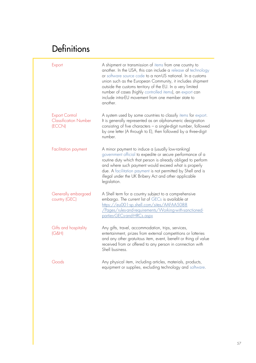| Export                                                          | A shipment or transmission of items from one country to<br>another. In the USA, this can include a release of technology<br>or software source code to a non-US national. In a customs<br>union such as the European Community, it includes shipment<br>outside the customs territory of the EU. In a very limited<br>number of cases (highly controlled items), an export can<br>include intra-EU movement from one member state to<br>another. |
|-----------------------------------------------------------------|--------------------------------------------------------------------------------------------------------------------------------------------------------------------------------------------------------------------------------------------------------------------------------------------------------------------------------------------------------------------------------------------------------------------------------------------------|
| <b>Export Control</b><br><b>Classification Number</b><br>(ECCN) | A system used by some countries to classify items for export.<br>It is generally represented as an alphanumeric designation<br>consisting of five characters $-$ a single-digit number, followed<br>by one letter (A through to E), then followed by a three-digit<br>number.                                                                                                                                                                    |
| Facilitation payment                                            | A minor payment to induce a (usually low-ranking)<br>government official to expedite or secure performance of a<br>routine duty which that person is already obliged to perform<br>and where such payment would exceed what is properly<br>due. A facilitation payment is not permitted by Shell and is<br>illegal under the UK Bribery Act and other applicable<br>legislation.                                                                 |
| Generally embargoed<br>country (GEC)                            | A Shell term for a country subject to a comprehensive<br>embargo. The current list of GECs is available at<br>https://eu001-sp.shell.com/sites/AAFAA5088<br>/Pages/rules-and-requirements/Working-with-sanctioned-<br>parties-GECs-and-HRCs.aspx                                                                                                                                                                                                 |
| Gifts and hospitality<br>IG&H                                   | Any gifts, travel, accommodation, trips, services,<br>entertainment, prizes from external competitions or lotteries<br>and any other gratuitous item, event, benefit or thing of value<br>received from or offered to any person in connection with<br>Shell business.                                                                                                                                                                           |
| Goods                                                           | Any physical item, including articles, materials, products,<br>equipment or supplies, excluding technology and software.                                                                                                                                                                                                                                                                                                                         |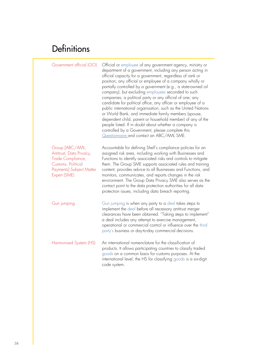| Government official (GO)                                                                                                                  | Official or employee of any government agency, ministry or<br>department of a government, including any person acting in<br>official capacity for a government, regardless of rank or<br>position; any official or employee of a company wholly or<br>partially controlled by a government (e.g., a state-owned oil<br>company), but excluding employees seconded to such<br>companies; a political party or any official of one; any<br>candidate for political office; any officer or employee of a<br>public international organisation, such as the United Nations<br>or World Bank; and immediate family members (spouse,<br>dependent child, parent or household member) of any of the<br>people listed. If in doubt about whether a company is<br>controlled by a Government, please complete this<br>Questionnaire and contact an ABC/AML SME. |
|-------------------------------------------------------------------------------------------------------------------------------------------|--------------------------------------------------------------------------------------------------------------------------------------------------------------------------------------------------------------------------------------------------------------------------------------------------------------------------------------------------------------------------------------------------------------------------------------------------------------------------------------------------------------------------------------------------------------------------------------------------------------------------------------------------------------------------------------------------------------------------------------------------------------------------------------------------------------------------------------------------------|
| Group [ABC/AML,<br>Antitrust, Data Privacy,<br>Trade Compliance,<br>Customs, Political<br><b>Payments] Subject Matter</b><br>Expert (SME) | Accountable for defining Shell's compliance policies for an<br>assigned risk area, including working with Businesses and<br>Functions to identify associated risks and controls to mitigate<br>them. The Group SME supports associated rules and training<br>content, provides advice to all Businesses and Functions, and<br>monitors, communicates, and reports changes in the risk<br>environment. The Group Data Privacy SME also serves as the<br>contact point to the data protection authorities for all data<br>protection issues, including data breach reporting.                                                                                                                                                                                                                                                                            |
| Gun jumping                                                                                                                               | Gun jumping is when any party to a deal takes steps to<br>implement the deal before all necessary antitrust merger<br>clearances have been obtained. "Taking steps to implement"<br>a deal includes any attempt to exercise management,<br>operational or commercial control or influence over the third<br>party's business or day-to-day commercial decisions.                                                                                                                                                                                                                                                                                                                                                                                                                                                                                       |
| Harmonised System (HS)                                                                                                                    | An international nomenclature for the classification of<br>products. It allows participating countries to classify traded<br>goods on a common basis for customs purposes. At the<br>international level, the HS for classifying goods is a six-digit<br>code system.                                                                                                                                                                                                                                                                                                                                                                                                                                                                                                                                                                                  |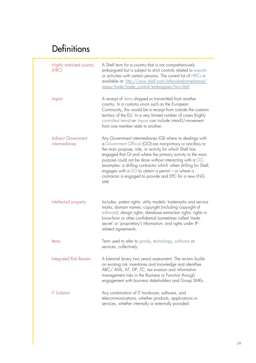| Highly restricted country<br>(HRC)           | A Shell term for a country that is not comprehensively<br>embargoed but is subject to strict controls related to exports<br>or activities with certain persons. The current list of HRCs is<br>available at: http://sww.shell.com/ethicsandcompliance/<br>areas/trade/trade_control/embargoes/hrcs.html                                                                                                                                                                                                  |
|----------------------------------------------|----------------------------------------------------------------------------------------------------------------------------------------------------------------------------------------------------------------------------------------------------------------------------------------------------------------------------------------------------------------------------------------------------------------------------------------------------------------------------------------------------------|
| Import                                       | A receipt of items shipped or transmitted from another<br>country. In a customs union such as the European<br>Community, this would be a receipt from outside the customs<br>territory of the EU. In a very limited number of cases (highly<br>controlled items) an import can include intra-EU movement<br>from one member state to another.                                                                                                                                                            |
| <b>Indirect Government</b><br>intermediaries | Any Government intermediaries (GI) where its dealings with<br>a Government Official (GO) are non-primary or ancillary to<br>the main purpose, role, or activity for which Shell has<br>engaged that GI and where the primary activity to the main<br>purpose could not be done without interacting with a GO.<br>(examples: a drilling contractor which when drilling for Shell,<br>engages with a GO to obtain a permit - or where a<br>contractor is engaged to provide and EPC for a new LNG<br>site) |
| Intellectual property                        | Includes: patent rights; utility models; trademarks and service<br>marks; domain names; copyright (including copyright of<br>software); design rights; database extraction rights; rights in<br>know-how or other confidential (sometimes called 'trade<br>secret' or 'proprietary') information; and rights under IP-<br>related agreements.                                                                                                                                                            |
| <b>Items</b>                                 | Term used to refer to goods, technology, software or<br>services, collectively.                                                                                                                                                                                                                                                                                                                                                                                                                          |
| Integrated Risk Review                       | A biennial (every two years) assessment. The review builds<br>on existing risk inventories and knowledge and identifies<br>ABC/ AML, AT, DP, TC, tax evasion and information<br>management risks in the Business or Function through<br>engagement with business stakeholders and Group SMEs.                                                                                                                                                                                                            |
| <b>IT Solution</b>                           | Any combination of IT hardware, software, and<br>telecommunications, whether products, applications or<br>services, whether internally or externally provided.                                                                                                                                                                                                                                                                                                                                           |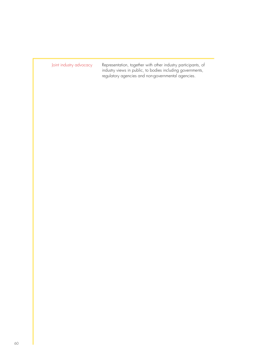Joint industry advocacy hepresentation, together with other industry participants, of industry views in public, to bodies including governments, regulatory agencies and non-governmental agencies.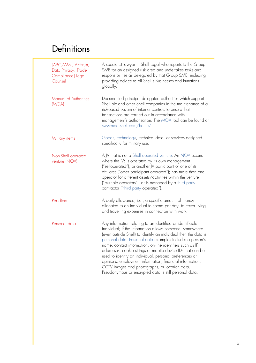| [ABC/AML, Antitrust,<br>Data Privacy, Trade<br>Compliance] Legal<br>Counsel | A specialist lawyer in Shell Legal who reports to the Group<br>SME for an assigned risk area and undertakes tasks and<br>responsibilities as delegated by that Group SME, including<br>providing advice to all Shell's Businesses and Functions<br>globally.                                                                                                                                                                                                                                                                                                                                                        |
|-----------------------------------------------------------------------------|---------------------------------------------------------------------------------------------------------------------------------------------------------------------------------------------------------------------------------------------------------------------------------------------------------------------------------------------------------------------------------------------------------------------------------------------------------------------------------------------------------------------------------------------------------------------------------------------------------------------|
| Manual of Authorities<br>(MOA)                                              | Documented principal delegated authorities which support<br>Shell plc and other Shell companies in the maintenance of a<br>risk-based system of internal controls to ensure that<br>transactions are carried out in accordance with<br>management's authorisation. The MOA tool can be found at<br>sww-moa.shell.com/home/                                                                                                                                                                                                                                                                                          |
| Military items                                                              | Goods, technology, technical data, or services designed<br>specifically for military use.                                                                                                                                                                                                                                                                                                                                                                                                                                                                                                                           |
| Non-Shell operated<br>venture (NOV)                                         | A JV that is not a Shell operated venture. An NOV occurs<br>where the JV: is operated by its own management<br>("selfoperated"), or another JV participant or one of its<br>affiliates ("other participant operated"); has more than one<br>operator for different assets/activities within the venture<br>("multiple operators"); or is managed by a third party<br>contractor ("third party operated").                                                                                                                                                                                                           |
| Per diem                                                                    | A daily allowance, i.e., a specific amount of money<br>allocated to an individual to spend per day, to cover living<br>and travelling expenses in connection with work.                                                                                                                                                                                                                                                                                                                                                                                                                                             |
| Personal data                                                               | Any information relating to an identified or identifiable<br>individual; if the information allows someone, somewhere<br>(even outside Shell) to identify an individual then the data is<br>personal data. Personal data examples include: a person's<br>name, contact information, on-line identifiers such as IP<br>addresses, cookie strings or mobile device IDs that can be<br>used to identify an individual, personal preferences or<br>opinions, employment information, financial information,<br>CCTV images and photographs, or location data.<br>Pseudonymous or encrypted data is still personal data. |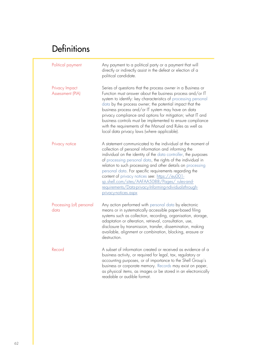| Political payment                  | Any payment to a political party or a payment that will<br>directly or indirectly assist in the defeat or election of a<br>political candidate.                                                                                                                                                                                                                                                                                                                                                                                                                       |
|------------------------------------|-----------------------------------------------------------------------------------------------------------------------------------------------------------------------------------------------------------------------------------------------------------------------------------------------------------------------------------------------------------------------------------------------------------------------------------------------------------------------------------------------------------------------------------------------------------------------|
| Privacy Impact<br>Assessment (PIA) | Series of questions that the process owner in a Business or<br>Function must answer about the business process and/or IT<br>system to identify: key characteristics of processing personal<br>data by the process owner; the potential impact that the<br>business process and/or IT system may have on data<br>privacy compliance and options for mitigation; what IT and<br>business controls must be implemented to ensure compliance<br>with the requirements of the Manual and Rules as well as<br>local data privacy laws (where applicable).                   |
| Privacy notice                     | A statement communicated to the individual at the moment of<br>collection of personal information and informing the<br>individual on the identity of the data controller, the purposes<br>of processing personal data, the rights of the individual in<br>relation to such processing and other details on processing<br>personal data. For specific requirements regarding the<br>content of privacy notices see: https://eu001-<br>sp.shell.com/sites/AAFAA5088/Pages/ rules-and-<br>requirements/Data-privacy-Informing-ndividualsthrough-<br>privacy-notices.aspx |
| Processing (of) personal<br>data   | Any action performed with personal data by electronic<br>means or in systematically accessible paper-based filing<br>systems such as collection, recording, organisation, storage,<br>adaptation or alteration, retrieval, consultation, use,<br>disclosure by transmission, transfer, dissemination, making<br>available, alignment or combination, blocking, erasure or<br>destruction.                                                                                                                                                                             |
| Record                             | A subset of information created or received as evidence of a<br>business activity, or required for legal, tax, regulatory or<br>accounting purposes, or of importance to the Shell Group's<br>business or corporate memory. Records may exist on paper,<br>as physical items, as images or be stored in an electronically<br>readable or audible format.                                                                                                                                                                                                              |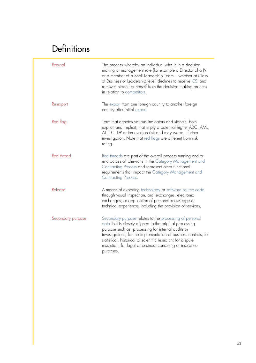| Recusal           | The process whereby an individual who is in a decision<br>making or management role (for example a Director of a JV<br>or a member of a Shell Leadership Team - whether at Class<br>of Business or Leadership level) declines to receive CSI and<br>removes himself or herself from the decision making process<br>in relation to competitors.                                        |
|-------------------|---------------------------------------------------------------------------------------------------------------------------------------------------------------------------------------------------------------------------------------------------------------------------------------------------------------------------------------------------------------------------------------|
| Re-export         | The export from one foreign country to another foreign<br>country after initial export.                                                                                                                                                                                                                                                                                               |
| Red flag          | Term that denotes various indicators and signals, both<br>explicit and implicit, that imply a potential higher ABC, AML,<br>AT, TC, DP or tax evasion risk and may warrant further<br>investigation. Note that red flags are different from risk<br>rating.                                                                                                                           |
| Red thread        | Red threads are part of the overall process running end-to-<br>end across all chevrons in the Category Management and<br>Contracting Process and represent other functional<br>requirements that impact the Category Management and<br>Contracting Process.                                                                                                                           |
| Release           | A means of exporting technology or software source code<br>through visual inspection, oral exchanges, electronic<br>exchanges, or application of personal knowledge or<br>technical experience, including the provision of services.                                                                                                                                                  |
| Secondary purpose | Secondary purpose relates to the processing of personal<br>data that is closely aligned to the original processing<br>purpose such as: processing for internal audits or<br>investigations; for the implementation of business controls; for<br>statistical, historical or scientific research; for dispute<br>resolution; for legal or business consulting or insurance<br>purposes. |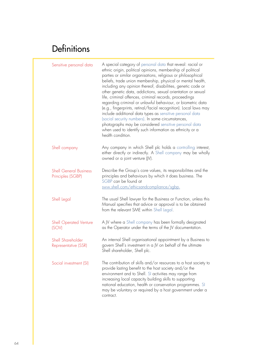| Sensitive personal data                            | A special category of personal data that reveal: racial or<br>ethnic origin, political opinions, membership of political<br>parties or similar organisations, religious or philosophical<br>beliefs, trade union membership, physical or mental health,<br>including any opinion thereof, disabilities, genetic code or<br>other genetic data, addictions, sexual orientation or sexual<br>life, criminal offences, criminal records, proceedings<br>regarding criminal or unlawful behaviour, or biometric data<br>(e.g., fingerprints, retinal/facial recognition). Local laws may<br>include additional data types as sensitive personal data<br>(social security numbers). In some circumstances,<br>photographs may be considered sensitive personal data<br>when used to identify such information as ethnicity or a<br>health condition. |
|----------------------------------------------------|-------------------------------------------------------------------------------------------------------------------------------------------------------------------------------------------------------------------------------------------------------------------------------------------------------------------------------------------------------------------------------------------------------------------------------------------------------------------------------------------------------------------------------------------------------------------------------------------------------------------------------------------------------------------------------------------------------------------------------------------------------------------------------------------------------------------------------------------------|
| Shell company                                      | Any company in which Shell plc holds a controlling interest,<br>either directly or indirectly. A Shell company may be wholly<br>owned or a joint venture (JV).                                                                                                                                                                                                                                                                                                                                                                                                                                                                                                                                                                                                                                                                                  |
| <b>Shell General Business</b><br>Principles (SGBP) | Describe the Group's core values, its responsibilities and the<br>principles and behaviours by which it does business. The<br>SGBP can be found at<br>sww.shell.com/ethicsandcompliance/sgbp.                                                                                                                                                                                                                                                                                                                                                                                                                                                                                                                                                                                                                                                   |
| Shell Legal                                        | The usual Shell lawyer for the Business or Function, unless this<br>Manual specifies that advice or approval is to be obtained<br>from the relevant SME within Shell Legal.                                                                                                                                                                                                                                                                                                                                                                                                                                                                                                                                                                                                                                                                     |
| <b>Shell Operated Venture</b><br>(SOV)             | A JV where a Shell company has been formally designated<br>as the Operator under the terms of the JV documentation.                                                                                                                                                                                                                                                                                                                                                                                                                                                                                                                                                                                                                                                                                                                             |
| Shell Shareholder<br>Representative (SSR)          | An internal Shell organisational appointment by a Business to<br>govern Shell's investment in a JV on behalf of the ultimate<br>Shell shareholder, Shell plc.                                                                                                                                                                                                                                                                                                                                                                                                                                                                                                                                                                                                                                                                                   |
| Social investment (SI)                             | The contribution of skills and/or resources to a host society to<br>provide lasting benefit to the host society and/or the<br>environment and to Shell. SI activities may range from<br>increasing local capacity building skills to supporting<br>national education, health or conservation programmes. SI<br>may be voluntary or required by a host government under a<br>contract.                                                                                                                                                                                                                                                                                                                                                                                                                                                          |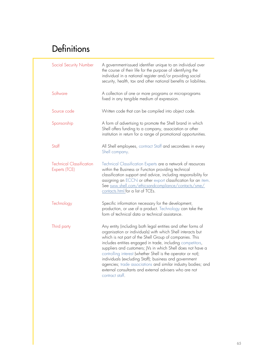| Social Security Number                           | A government-issued identifier unique to an individual over<br>the course of their life for the purpose of identifying the<br>individual in a national register and/or providing social<br>security, health, tax and other national benefits or liabilities.                                                                                                                                                                                                                                                                                                                                |  |  |
|--------------------------------------------------|---------------------------------------------------------------------------------------------------------------------------------------------------------------------------------------------------------------------------------------------------------------------------------------------------------------------------------------------------------------------------------------------------------------------------------------------------------------------------------------------------------------------------------------------------------------------------------------------|--|--|
| Software                                         | A collection of one or more programs or microprograms<br>fixed in any tangible medium of expression.                                                                                                                                                                                                                                                                                                                                                                                                                                                                                        |  |  |
| Source code                                      | Written code that can be compiled into object code.                                                                                                                                                                                                                                                                                                                                                                                                                                                                                                                                         |  |  |
| Sponsorship                                      | A form of advertising to promote the Shell brand in which<br>Shell offers funding to a company, association or other<br>institution in return for a range of promotional opportunities.                                                                                                                                                                                                                                                                                                                                                                                                     |  |  |
| Staff                                            | All Shell employees, contract Staff and secondees in every<br>Shell company.                                                                                                                                                                                                                                                                                                                                                                                                                                                                                                                |  |  |
| <b>Technical Classification</b><br>Experts (TCE) | Technical Classification Experts are a network of resources<br>within the Business or Function providing technical<br>classification support and advice, including responsibility for<br>assigning an ECCN or other export classification for an item.<br>See sww.shell.com/ethicsandcompliance/contacts/sme/<br>contacts.html for a list of TCEs.                                                                                                                                                                                                                                          |  |  |
| Technology                                       | Specific information necessary for the development,<br>production, or use of a product. Technology can take the<br>form of technical data or technical assistance.                                                                                                                                                                                                                                                                                                                                                                                                                          |  |  |
| Third party                                      | Any entity (including both legal entities and other forms of<br>organisation or individuals) with which Shell interacts but<br>which is not part of the Shell Group of companies. This<br>includes entities engaged in trade, including competitors,<br>suppliers and customers; JVs in which Shell does not have a<br>controlling interest (whether Shell is the operator or not);<br>individuals (excluding Staff); business and government<br>agencies; trade associations and similar industry bodies; and<br>external consultants and external advisers who are not<br>contract staff. |  |  |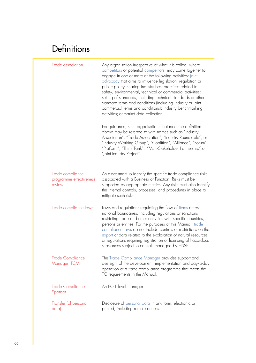| Trade association                                     | Any organisation irrespective of what it is called, where<br>competitors or potential competitors, may come together to<br>engage in one or more of the following activities: joint<br>advocacy that aims to influence legislation, regulation or<br>public policy; sharing industry best practices related to<br>safety, environmental, technical or commercial activities;<br>setting of standards, including technical standards or other<br>standard terms and conditions (including industry or joint<br>commercial terms and conditions); industry benchmarking<br>activities: or market data collection. |
|-------------------------------------------------------|-----------------------------------------------------------------------------------------------------------------------------------------------------------------------------------------------------------------------------------------------------------------------------------------------------------------------------------------------------------------------------------------------------------------------------------------------------------------------------------------------------------------------------------------------------------------------------------------------------------------|
|                                                       | For guidance, such organisations that meet the definition<br>above may be referred to with names such as "Industry<br>Association", "Trade Association", "Industry Roundtable", or<br>"Industry Working Group", "Coalition", "Alliance", "Forum",<br>"Platform", "Think Tank", "Multi-Stakeholder Partnership" or<br>"Joint Industry Project".                                                                                                                                                                                                                                                                  |
| Trade compliance<br>programme effectiveness<br>review | An assessment to identify the specific trade compliance risks<br>associated with a Business or Function. Risks must be<br>supported by appropriate metrics. Any risks must also identify<br>the internal controls, processes, and procedures in place to<br>mitigate such risks.                                                                                                                                                                                                                                                                                                                                |
| Trade compliance laws                                 | Laws and regulations regulating the flow of items across<br>national boundaries, including regulations or sanctions<br>restricting trade and other activities with specific countries,<br>persons or entities. For the purposes of this Manual, trade<br>compliance laws do not include controls or restrictions on the<br>export of data related to the exploration of natural resources,<br>or regulations requiring registration or licensing of hazardous<br>substances subject to controls managed by HSSE.                                                                                                |
| <b>Trade Compliance</b><br>Manager (TCM)              | The Trade Compliance Manager provides support and<br>oversight of the development, implementation and day-to-day<br>operation of a trade compliance programme that meets the<br>TC requirements in the Manual.                                                                                                                                                                                                                                                                                                                                                                                                  |
| <b>Trade Compliance</b><br>Sponsor                    | An EC-1 level manager                                                                                                                                                                                                                                                                                                                                                                                                                                                                                                                                                                                           |
| Transfer (of personal<br>data)                        | Disclosure of personal data in any form, electronic or<br>printed, including remote access.                                                                                                                                                                                                                                                                                                                                                                                                                                                                                                                     |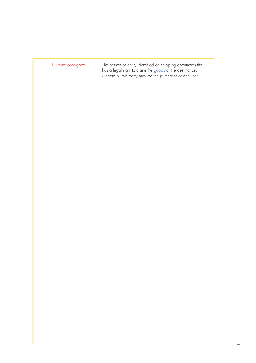| Ultimate consignee |  |  |  |
|--------------------|--|--|--|
|                    |  |  |  |

Ultimate consignee The person or entity identified on shipping documents that has a legal right to claim the goods at the destination. Generally, this party may be the purchaser or end-user.